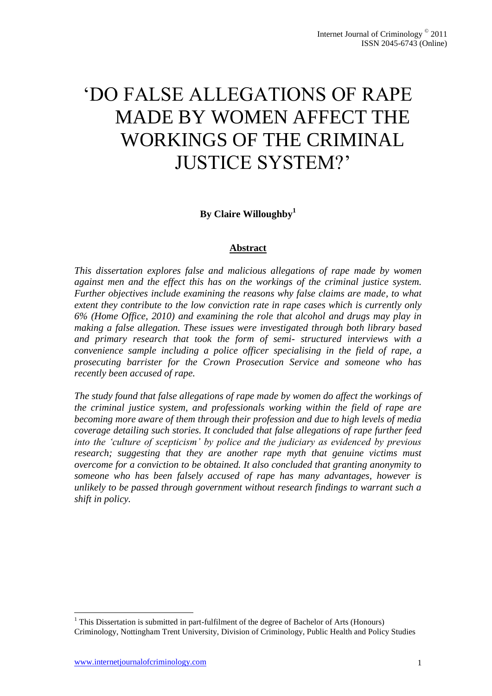# "DO FALSE ALLEGATIONS OF RAPE MADE BY WOMEN AFFECT THE WORKINGS OF THE CRIMINAL JUSTICE SYSTEM?"

**By Claire Willoughby<sup>1</sup>**

## **Abstract**

*This dissertation explores false and malicious allegations of rape made by women against men and the effect this has on the workings of the criminal justice system. Further objectives include examining the reasons why false claims are made, to what extent they contribute to the low conviction rate in rape cases which is currently only 6% (Home Office, 2010) and examining the role that alcohol and drugs may play in making a false allegation. These issues were investigated through both library based and primary research that took the form of semi- structured interviews with a convenience sample including a police officer specialising in the field of rape, a prosecuting barrister for the Crown Prosecution Service and someone who has recently been accused of rape.* 

*The study found that false allegations of rape made by women do affect the workings of the criminal justice system, and professionals working within the field of rape are becoming more aware of them through their profession and due to high levels of media coverage detailing such stories. It concluded that false allegations of rape further feed into the 'culture of scepticism' by police and the judiciary as evidenced by previous research; suggesting that they are another rape myth that genuine victims must overcome for a conviction to be obtained. It also concluded that granting anonymity to someone who has been falsely accused of rape has many advantages, however is unlikely to be passed through government without research findings to warrant such a shift in policy.* 

<sup>1</sup>  $<sup>1</sup>$  This Dissertation is submitted in part-fulfilment of the degree of Bachelor of Arts (Honours)</sup> Criminology, Nottingham Trent University, Division of Criminology, Public Health and Policy Studies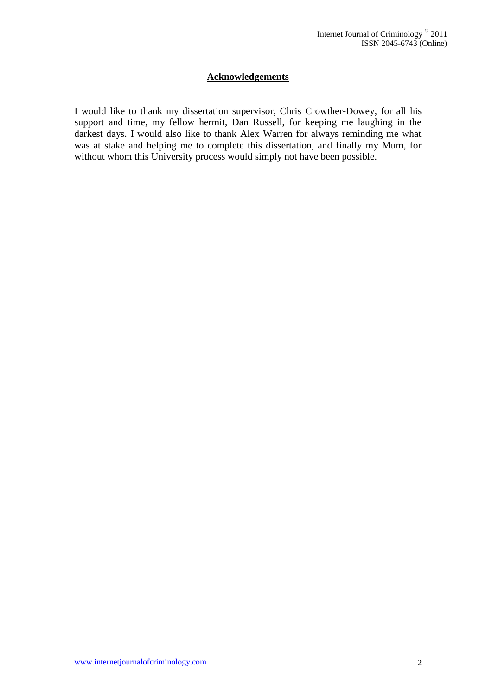# **Acknowledgements**

I would like to thank my dissertation supervisor, Chris Crowther-Dowey, for all his support and time, my fellow hermit, Dan Russell, for keeping me laughing in the darkest days. I would also like to thank Alex Warren for always reminding me what was at stake and helping me to complete this dissertation, and finally my Mum, for without whom this University process would simply not have been possible.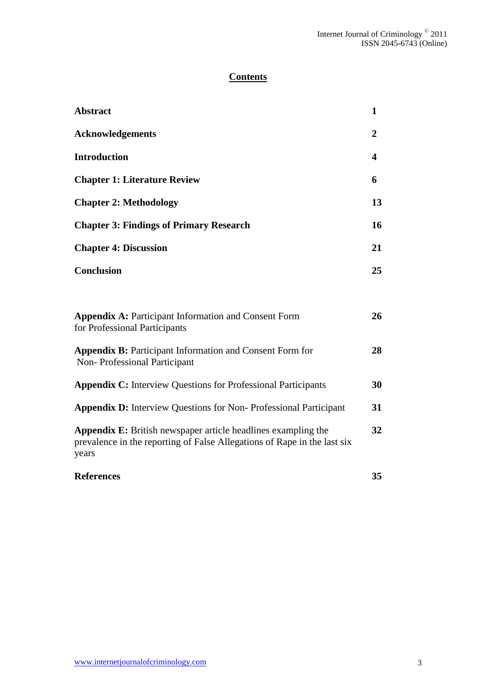# **Contents**

| <b>Abstract</b>                                                                                                                                           | $\mathbf{1}$            |
|-----------------------------------------------------------------------------------------------------------------------------------------------------------|-------------------------|
| <b>Acknowledgements</b>                                                                                                                                   | $\overline{2}$          |
| <b>Introduction</b>                                                                                                                                       | $\overline{\mathbf{4}}$ |
| <b>Chapter 1: Literature Review</b>                                                                                                                       | 6                       |
| <b>Chapter 2: Methodology</b>                                                                                                                             | 13                      |
| <b>Chapter 3: Findings of Primary Research</b>                                                                                                            | 16                      |
| <b>Chapter 4: Discussion</b>                                                                                                                              | 21                      |
| <b>Conclusion</b>                                                                                                                                         | 25                      |
|                                                                                                                                                           |                         |
| <b>Appendix A: Participant Information and Consent Form</b><br>for Professional Participants                                                              | 26                      |
| <b>Appendix B: Participant Information and Consent Form for</b><br>Non-Professional Participant                                                           | 28                      |
| <b>Appendix C:</b> Interview Questions for Professional Participants                                                                                      | 30                      |
| <b>Appendix D:</b> Interview Questions for Non-Professional Participant                                                                                   | 31                      |
| <b>Appendix E:</b> British newspaper article headlines exampling the<br>prevalence in the reporting of False Allegations of Rape in the last six<br>years | 32                      |
| <b>References</b>                                                                                                                                         | 35                      |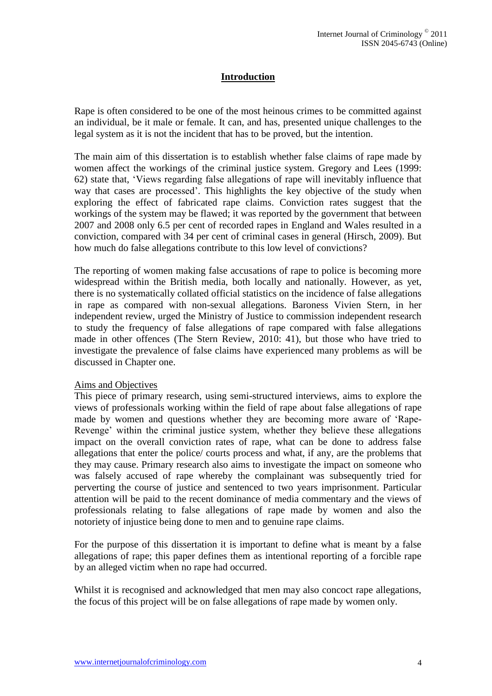# **Introduction**

Rape is often considered to be one of the most heinous crimes to be committed against an individual, be it male or female. It can, and has, presented unique challenges to the legal system as it is not the incident that has to be proved, but the intention.

The main aim of this dissertation is to establish whether false claims of rape made by women affect the workings of the criminal justice system. Gregory and Lees (1999: 62) state that, "Views regarding false allegations of rape will inevitably influence that way that cases are processed". This highlights the key objective of the study when exploring the effect of fabricated rape claims. Conviction rates suggest that the workings of the system may be flawed; it was reported by the government that between 2007 and 2008 only 6.5 per cent of recorded rapes in England and Wales resulted in a conviction, compared with 34 per cent of criminal cases in general (Hirsch, 2009). But how much do false allegations contribute to this low level of convictions?

The reporting of women making false accusations of rape to police is becoming more widespread within the British media, both locally and nationally. However, as yet, there is no systematically collated official statistics on the incidence of false allegations in rape as compared with non-sexual allegations. Baroness Vivien Stern, in her independent review, urged the Ministry of Justice to commission independent research to study the frequency of false allegations of rape compared with false allegations made in other offences (The Stern Review, 2010: 41), but those who have tried to investigate the prevalence of false claims have experienced many problems as will be discussed in Chapter one.

#### Aims and Objectives

This piece of primary research, using semi-structured interviews, aims to explore the views of professionals working within the field of rape about false allegations of rape made by women and questions whether they are becoming more aware of "Rape-Revenge' within the criminal justice system, whether they believe these allegations impact on the overall conviction rates of rape, what can be done to address false allegations that enter the police/ courts process and what, if any, are the problems that they may cause. Primary research also aims to investigate the impact on someone who was falsely accused of rape whereby the complainant was subsequently tried for perverting the course of justice and sentenced to two years imprisonment. Particular attention will be paid to the recent dominance of media commentary and the views of professionals relating to false allegations of rape made by women and also the notoriety of injustice being done to men and to genuine rape claims.

For the purpose of this dissertation it is important to define what is meant by a false allegations of rape; this paper defines them as intentional reporting of a forcible rape by an alleged victim when no rape had occurred.

Whilst it is recognised and acknowledged that men may also concoct rape allegations, the focus of this project will be on false allegations of rape made by women only.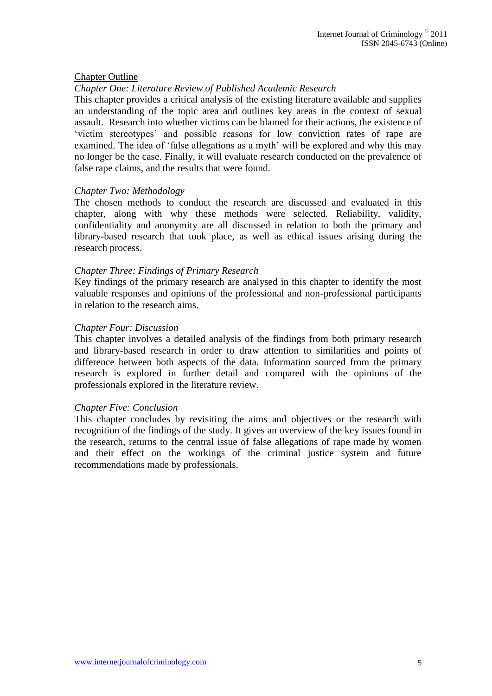#### Chapter Outline

#### *Chapter One: Literature Review of Published Academic Research*

This chapter provides a critical analysis of the existing literature available and supplies an understanding of the topic area and outlines key areas in the context of sexual assault. Research into whether victims can be blamed for their actions, the existence of "victim stereotypes" and possible reasons for low conviction rates of rape are examined. The idea of 'false allegations as a myth' will be explored and why this may no longer be the case. Finally, it will evaluate research conducted on the prevalence of false rape claims, and the results that were found.

#### *Chapter Two: Methodology*

The chosen methods to conduct the research are discussed and evaluated in this chapter, along with why these methods were selected. Reliability, validity, confidentiality and anonymity are all discussed in relation to both the primary and library-based research that took place, as well as ethical issues arising during the research process.

#### *Chapter Three: Findings of Primary Research*

Key findings of the primary research are analysed in this chapter to identify the most valuable responses and opinions of the professional and non-professional participants in relation to the research aims.

#### *Chapter Four: Discussion*

This chapter involves a detailed analysis of the findings from both primary research and library-based research in order to draw attention to similarities and points of difference between both aspects of the data. Information sourced from the primary research is explored in further detail and compared with the opinions of the professionals explored in the literature review.

#### *Chapter Five: Conclusion*

This chapter concludes by revisiting the aims and objectives or the research with recognition of the findings of the study. It gives an overview of the key issues found in the research, returns to the central issue of false allegations of rape made by women and their effect on the workings of the criminal justice system and future recommendations made by professionals.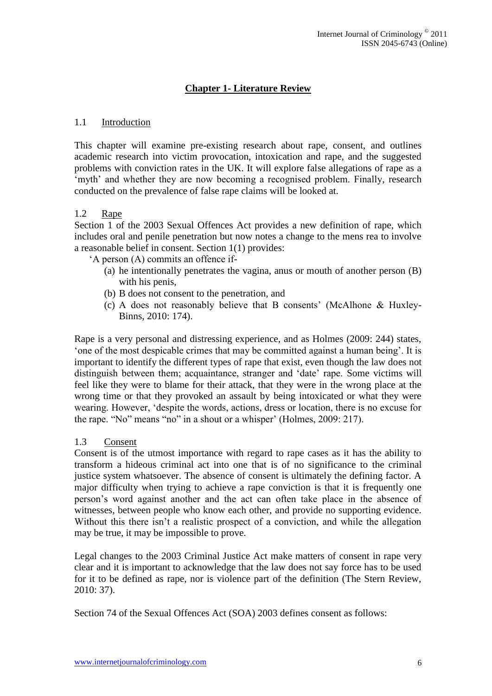# **Chapter 1- Literature Review**

#### 1.1 Introduction

This chapter will examine pre-existing research about rape, consent, and outlines academic research into victim provocation, intoxication and rape, and the suggested problems with conviction rates in the UK. It will explore false allegations of rape as a 'myth' and whether they are now becoming a recognised problem. Finally, research conducted on the prevalence of false rape claims will be looked at.

## 1.2 Rape

Section 1 of the 2003 Sexual Offences Act provides a new definition of rape, which includes oral and penile penetration but now notes a change to the mens rea to involve a reasonable belief in consent. Section 1(1) provides:

- "A person (A) commits an offence if-
	- (a) he intentionally penetrates the vagina, anus or mouth of another person (B) with his penis,
	- (b) B does not consent to the penetration, and
	- (c) A does not reasonably believe that B consents" (McAlhone & Huxley-Binns, 2010: 174).

Rape is a very personal and distressing experience, and as Holmes (2009: 244) states, "one of the most despicable crimes that may be committed against a human being". It is important to identify the different types of rape that exist, even though the law does not distinguish between them; acquaintance, stranger and "date" rape. Some victims will feel like they were to blame for their attack, that they were in the wrong place at the wrong time or that they provoked an assault by being intoxicated or what they were wearing. However, "despite the words, actions, dress or location, there is no excuse for the rape. "No" means "no" in a shout or a whisper" (Holmes, 2009: 217).

#### 1.3 Consent

Consent is of the utmost importance with regard to rape cases as it has the ability to transform a hideous criminal act into one that is of no significance to the criminal justice system whatsoever. The absence of consent is ultimately the defining factor. A major difficulty when trying to achieve a rape conviction is that it is frequently one person"s word against another and the act can often take place in the absence of witnesses, between people who know each other, and provide no supporting evidence. Without this there isn't a realistic prospect of a conviction, and while the allegation may be true, it may be impossible to prove.

Legal changes to the 2003 Criminal Justice Act make matters of consent in rape very clear and it is important to acknowledge that the law does not say force has to be used for it to be defined as rape, nor is violence part of the definition (The Stern Review, 2010: 37).

Section 74 of the Sexual Offences Act (SOA) 2003 defines consent as follows: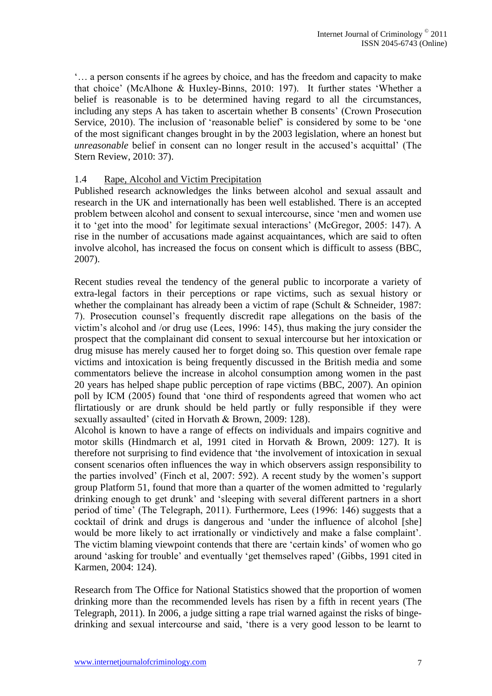"… a person consents if he agrees by choice, and has the freedom and capacity to make that choice" (McAlhone & Huxley-Binns, 2010: 197). It further states "Whether a belief is reasonable is to be determined having regard to all the circumstances, including any steps A has taken to ascertain whether B consents' (Crown Prosecution Service, 2010). The inclusion of 'reasonable belief' is considered by some to be 'one of the most significant changes brought in by the 2003 legislation, where an honest but *unreasonable* belief in consent can no longer result in the accused's acquittal' (The Stern Review, 2010: 37).

## 1.4 Rape, Alcohol and Victim Precipitation

Published research acknowledges the links between alcohol and sexual assault and research in the UK and internationally has been well established. There is an accepted problem between alcohol and consent to sexual intercourse, since "men and women use it to "get into the mood" for legitimate sexual interactions" (McGregor, 2005: 147). A rise in the number of accusations made against acquaintances, which are said to often involve alcohol, has increased the focus on consent which is difficult to assess (BBC, 2007).

Recent studies reveal the tendency of the general public to incorporate a variety of extra-legal factors in their perceptions or rape victims, such as sexual history or whether the complainant has already been a victim of rape (Schult & Schneider, 1987: 7). Prosecution counsel"s frequently discredit rape allegations on the basis of the victim"s alcohol and /or drug use (Lees, 1996: 145), thus making the jury consider the prospect that the complainant did consent to sexual intercourse but her intoxication or drug misuse has merely caused her to forget doing so. This question over female rape victims and intoxication is being frequently discussed in the British media and some commentators believe the increase in alcohol consumption among women in the past 20 years has helped shape public perception of rape victims (BBC, 2007). An opinion poll by ICM (2005) found that "one third of respondents agreed that women who act flirtatiously or are drunk should be held partly or fully responsible if they were sexually assaulted' (cited in Horvath & Brown, 2009: 128).

Alcohol is known to have a range of effects on individuals and impairs cognitive and motor skills (Hindmarch et al, 1991 cited in Horvath & Brown, 2009: 127). It is therefore not surprising to find evidence that "the involvement of intoxication in sexual consent scenarios often influences the way in which observers assign responsibility to the parties involved" (Finch et al, 2007: 592). A recent study by the women"s support group Platform 51, found that more than a quarter of the women admitted to "regularly drinking enough to get drunk" and "sleeping with several different partners in a short period of time" (The Telegraph, 2011). Furthermore, Lees (1996: 146) suggests that a cocktail of drink and drugs is dangerous and "under the influence of alcohol [she] would be more likely to act irrationally or vindictively and make a false complaint". The victim blaming viewpoint contends that there are "certain kinds" of women who go around "asking for trouble" and eventually "get themselves raped" (Gibbs, 1991 cited in Karmen, 2004: 124).

Research from The Office for National Statistics showed that the proportion of women drinking more than the recommended levels has risen by a fifth in recent years (The Telegraph, 2011). In 2006, a judge sitting a rape trial warned against the risks of bingedrinking and sexual intercourse and said, "there is a very good lesson to be learnt to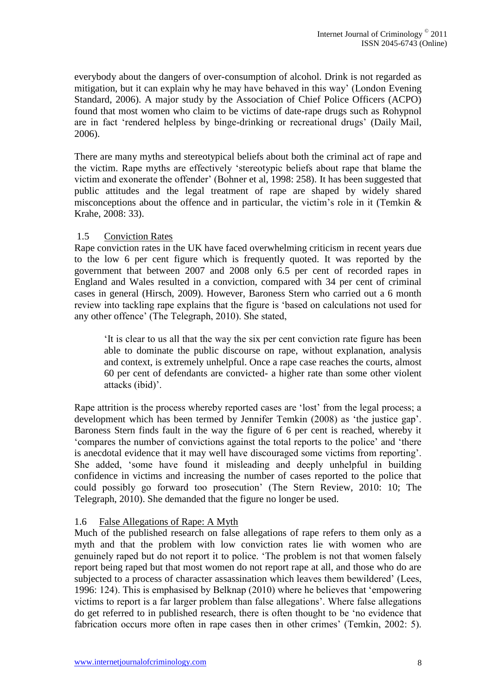everybody about the dangers of over-consumption of alcohol. Drink is not regarded as mitigation, but it can explain why he may have behaved in this way" (London Evening Standard, 2006). A major study by the Association of Chief Police Officers (ACPO) found that most women who claim to be victims of date-rape drugs such as Rohypnol are in fact "rendered helpless by binge-drinking or recreational drugs" (Daily Mail, 2006).

There are many myths and stereotypical beliefs about both the criminal act of rape and the victim. Rape myths are effectively "stereotypic beliefs about rape that blame the victim and exonerate the offender" (Bohner et al, 1998: 258). It has been suggested that public attitudes and the legal treatment of rape are shaped by widely shared misconceptions about the offence and in particular, the victim's role in it (Temkin  $\&$ Krahe, 2008: 33).

# 1.5 Conviction Rates

Rape conviction rates in the UK have faced overwhelming criticism in recent years due to the low 6 per cent figure which is frequently quoted. It was reported by the government that between 2007 and 2008 only 6.5 per cent of recorded rapes in England and Wales resulted in a conviction, compared with 34 per cent of criminal cases in general (Hirsch, 2009). However, Baroness Stern who carried out a 6 month review into tackling rape explains that the figure is "based on calculations not used for any other offence" (The Telegraph, 2010). She stated,

"It is clear to us all that the way the six per cent conviction rate figure has been able to dominate the public discourse on rape, without explanation, analysis and context, is extremely unhelpful. Once a rape case reaches the courts, almost 60 per cent of defendants are convicted- a higher rate than some other violent attacks (ibid)'.

Rape attrition is the process whereby reported cases are "lost" from the legal process; a development which has been termed by Jennifer Temkin (2008) as "the justice gap". Baroness Stern finds fault in the way the figure of 6 per cent is reached, whereby it "compares the number of convictions against the total reports to the police" and "there is anecdotal evidence that it may well have discouraged some victims from reporting". She added, "some have found it misleading and deeply unhelpful in building confidence in victims and increasing the number of cases reported to the police that could possibly go forward too prosecution" (The Stern Review, 2010: 10; The Telegraph, 2010). She demanded that the figure no longer be used.

# 1.6 False Allegations of Rape: A Myth

Much of the published research on false allegations of rape refers to them only as a myth and that the problem with low conviction rates lie with women who are genuinely raped but do not report it to police. "The problem is not that women falsely report being raped but that most women do not report rape at all, and those who do are subjected to a process of character assassination which leaves them bewildered' (Lees, 1996: 124). This is emphasised by Belknap (2010) where he believes that "empowering victims to report is a far larger problem than false allegations". Where false allegations do get referred to in published research, there is often thought to be "no evidence that fabrication occurs more often in rape cases then in other crimes' (Temkin, 2002: 5).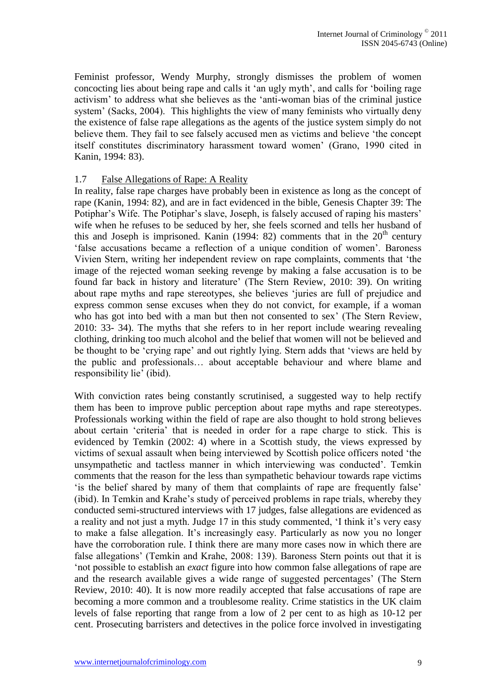Feminist professor, Wendy Murphy, strongly dismisses the problem of women concocting lies about being rape and calls it "an ugly myth", and calls for "boiling rage activism" to address what she believes as the "anti-woman bias of the criminal justice system' (Sacks, 2004). This highlights the view of many feminists who virtually deny the existence of false rape allegations as the agents of the justice system simply do not believe them. They fail to see falsely accused men as victims and believe "the concept itself constitutes discriminatory harassment toward women" (Grano, 1990 cited in Kanin, 1994: 83).

#### 1.7 False Allegations of Rape: A Reality

In reality, false rape charges have probably been in existence as long as the concept of rape (Kanin, 1994: 82), and are in fact evidenced in the bible, Genesis Chapter 39: The Potiphar's Wife. The Potiphar's slave, Joseph, is falsely accused of raping his masters' wife when he refuses to be seduced by her, she feels scorned and tells her husband of this and Joseph is imprisoned. Kanin (1994: 82) comments that in the  $20<sup>th</sup>$  century "false accusations became a reflection of a unique condition of women". Baroness Vivien Stern, writing her independent review on rape complaints, comments that "the image of the rejected woman seeking revenge by making a false accusation is to be found far back in history and literature" (The Stern Review, 2010: 39). On writing about rape myths and rape stereotypes, she believes "juries are full of prejudice and express common sense excuses when they do not convict, for example, if a woman who has got into bed with a man but then not consented to sex' (The Stern Review, 2010: 33- 34). The myths that she refers to in her report include wearing revealing clothing, drinking too much alcohol and the belief that women will not be believed and be thought to be "crying rape" and out rightly lying. Stern adds that "views are held by the public and professionals… about acceptable behaviour and where blame and responsibility lie' (ibid).

With conviction rates being constantly scrutinised, a suggested way to help rectify them has been to improve public perception about rape myths and rape stereotypes. Professionals working within the field of rape are also thought to hold strong believes about certain "criteria" that is needed in order for a rape charge to stick. This is evidenced by Temkin (2002: 4) where in a Scottish study, the views expressed by victims of sexual assault when being interviewed by Scottish police officers noted "the unsympathetic and tactless manner in which interviewing was conducted". Temkin comments that the reason for the less than sympathetic behaviour towards rape victims "is the belief shared by many of them that complaints of rape are frequently false" (ibid). In Temkin and Krahe"s study of perceived problems in rape trials, whereby they conducted semi-structured interviews with 17 judges, false allegations are evidenced as a reality and not just a myth. Judge 17 in this study commented, 'I think it's very easy to make a false allegation. It's increasingly easy. Particularly as now you no longer have the corroboration rule. I think there are many more cases now in which there are false allegations' (Temkin and Krahe, 2008: 139). Baroness Stern points out that it is "not possible to establish an *exact* figure into how common false allegations of rape are and the research available gives a wide range of suggested percentages" (The Stern Review, 2010: 40). It is now more readily accepted that false accusations of rape are becoming a more common and a troublesome reality. Crime statistics in the UK claim levels of false reporting that range from a low of 2 per cent to as high as 10-12 per cent. Prosecuting barristers and detectives in the police force involved in investigating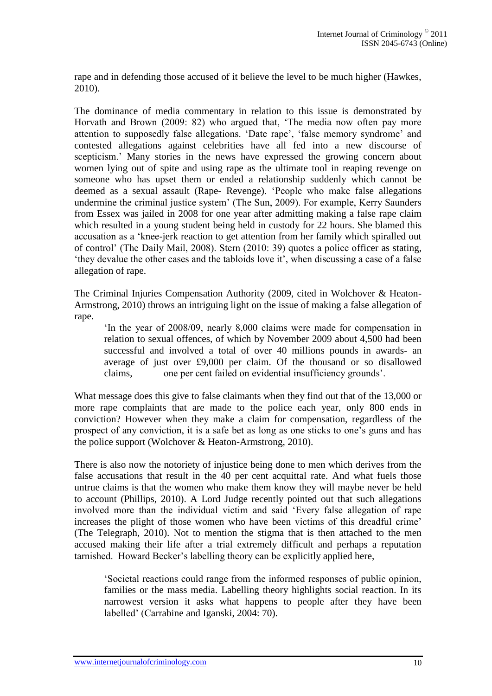rape and in defending those accused of it believe the level to be much higher (Hawkes, 2010).

The dominance of media commentary in relation to this issue is demonstrated by Horvath and Brown (2009: 82) who argued that, "The media now often pay more attention to supposedly false allegations. 'Date rape', 'false memory syndrome' and contested allegations against celebrities have all fed into a new discourse of scepticism." Many stories in the news have expressed the growing concern about women lying out of spite and using rape as the ultimate tool in reaping revenge on someone who has upset them or ended a relationship suddenly which cannot be deemed as a sexual assault (Rape- Revenge). "People who make false allegations undermine the criminal justice system" (The Sun, 2009). For example, Kerry Saunders from Essex was jailed in 2008 for one year after admitting making a false rape claim which resulted in a young student being held in custody for 22 hours. She blamed this accusation as a "knee-jerk reaction to get attention from her family which spiralled out of control" (The Daily Mail, 2008). Stern (2010: 39) quotes a police officer as stating, "they devalue the other cases and the tabloids love it", when discussing a case of a false allegation of rape.

The Criminal Injuries Compensation Authority (2009, cited in Wolchover & Heaton-Armstrong, 2010) throws an intriguing light on the issue of making a false allegation of rape.

"In the year of 2008/09, nearly 8,000 claims were made for compensation in relation to sexual offences, of which by November 2009 about 4,500 had been successful and involved a total of over 40 millions pounds in awards- an average of just over £9,000 per claim. Of the thousand or so disallowed claims, one per cent failed on evidential insufficiency grounds".

What message does this give to false claimants when they find out that of the 13,000 or more rape complaints that are made to the police each year, only 800 ends in conviction? However when they make a claim for compensation, regardless of the prospect of any conviction, it is a safe bet as long as one sticks to one"s guns and has the police support (Wolchover & Heaton-Armstrong, 2010).

There is also now the notoriety of injustice being done to men which derives from the false accusations that result in the 40 per cent acquittal rate. And what fuels those untrue claims is that the women who make them know they will maybe never be held to account (Phillips, 2010). A Lord Judge recently pointed out that such allegations involved more than the individual victim and said "Every false allegation of rape increases the plight of those women who have been victims of this dreadful crime' (The Telegraph, 2010). Not to mention the stigma that is then attached to the men accused making their life after a trial extremely difficult and perhaps a reputation tarnished. Howard Becker"s labelling theory can be explicitly applied here,

"Societal reactions could range from the informed responses of public opinion, families or the mass media. Labelling theory highlights social reaction. In its narrowest version it asks what happens to people after they have been labelled" (Carrabine and Iganski, 2004: 70).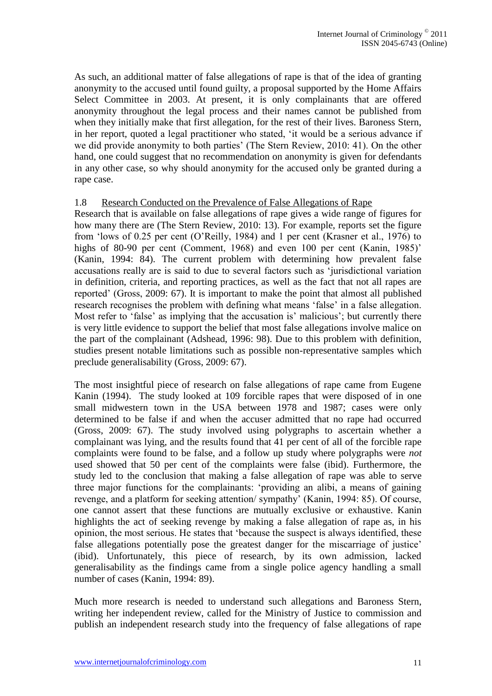As such, an additional matter of false allegations of rape is that of the idea of granting anonymity to the accused until found guilty, a proposal supported by the Home Affairs Select Committee in 2003. At present, it is only complainants that are offered anonymity throughout the legal process and their names cannot be published from when they initially make that first allegation, for the rest of their lives. Baroness Stern, in her report, quoted a legal practitioner who stated, "it would be a serious advance if we did provide anonymity to both parties' (The Stern Review, 2010: 41). On the other hand, one could suggest that no recommendation on anonymity is given for defendants in any other case, so why should anonymity for the accused only be granted during a rape case.

#### 1.8 Research Conducted on the Prevalence of False Allegations of Rape

Research that is available on false allegations of rape gives a wide range of figures for how many there are (The Stern Review, 2010: 13). For example, reports set the figure from "lows of 0.25 per cent (O"Reilly, 1984) and 1 per cent (Krasner et al., 1976) to highs of 80-90 per cent (Comment, 1968) and even 100 per cent (Kanin, 1985)' (Kanin, 1994: 84). The current problem with determining how prevalent false accusations really are is said to due to several factors such as "jurisdictional variation in definition, criteria, and reporting practices, as well as the fact that not all rapes are reported" (Gross, 2009: 67). It is important to make the point that almost all published research recognises the problem with defining what means 'false' in a false allegation. Most refer to 'false' as implying that the accusation is' malicious'; but currently there is very little evidence to support the belief that most false allegations involve malice on the part of the complainant (Adshead, 1996: 98). Due to this problem with definition, studies present notable limitations such as possible non-representative samples which preclude generalisability (Gross, 2009: 67).

The most insightful piece of research on false allegations of rape came from Eugene Kanin (1994). The study looked at 109 forcible rapes that were disposed of in one small midwestern town in the USA between 1978 and 1987; cases were only determined to be false if and when the accuser admitted that no rape had occurred (Gross, 2009: 67). The study involved using polygraphs to ascertain whether a complainant was lying, and the results found that 41 per cent of all of the forcible rape complaints were found to be false, and a follow up study where polygraphs were *not* used showed that 50 per cent of the complaints were false (ibid). Furthermore, the study led to the conclusion that making a false allegation of rape was able to serve three major functions for the complainants: "providing an alibi, a means of gaining revenge, and a platform for seeking attention/ sympathy" (Kanin, 1994: 85). Of course, one cannot assert that these functions are mutually exclusive or exhaustive. Kanin highlights the act of seeking revenge by making a false allegation of rape as, in his opinion, the most serious. He states that "because the suspect is always identified, these false allegations potentially pose the greatest danger for the miscarriage of justice' (ibid). Unfortunately, this piece of research, by its own admission, lacked generalisability as the findings came from a single police agency handling a small number of cases (Kanin, 1994: 89).

Much more research is needed to understand such allegations and Baroness Stern, writing her independent review, called for the Ministry of Justice to commission and publish an independent research study into the frequency of false allegations of rape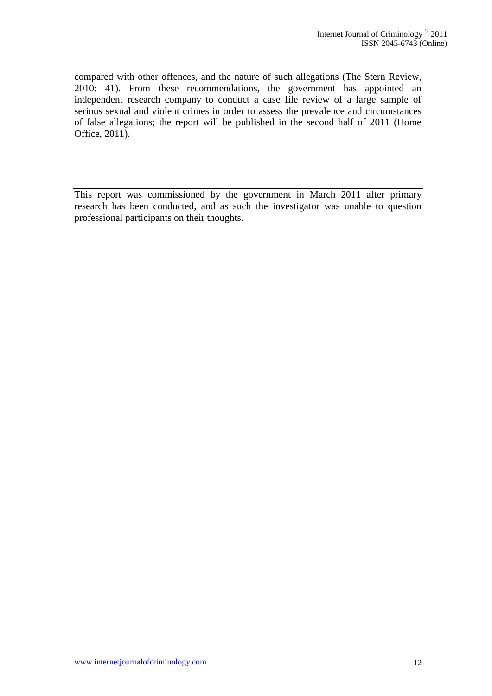compared with other offences, and the nature of such allegations (The Stern Review, 2010: 41). From these recommendations, the government has appointed an independent research company to conduct a case file review of a large sample of serious sexual and violent crimes in order to assess the prevalence and circumstances of false allegations; the report will be published in the second half of 2011 (Home Office, 2011).

This report was commissioned by the government in March 2011 after primary research has been conducted, and as such the investigator was unable to question professional participants on their thoughts.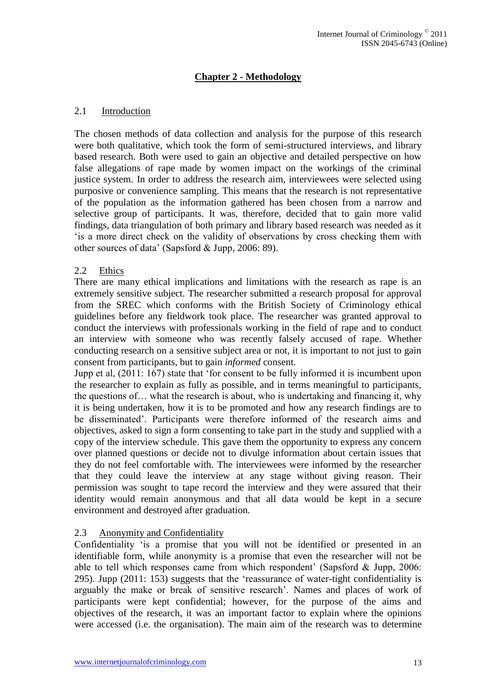# **Chapter 2 - Methodology**

#### 2.1 Introduction

The chosen methods of data collection and analysis for the purpose of this research were both qualitative, which took the form of semi-structured interviews, and library based research. Both were used to gain an objective and detailed perspective on how false allegations of rape made by women impact on the workings of the criminal justice system. In order to address the research aim, interviewees were selected using purposive or convenience sampling. This means that the research is not representative of the population as the information gathered has been chosen from a narrow and selective group of participants. It was, therefore, decided that to gain more valid findings, data triangulation of both primary and library based research was needed as it "is a more direct check on the validity of observations by cross checking them with other sources of data" (Sapsford & Jupp, 2006: 89).

#### 2.2 Ethics

There are many ethical implications and limitations with the research as rape is an extremely sensitive subject. The researcher submitted a research proposal for approval from the SREC which conforms with the British Society of Criminology ethical guidelines before any fieldwork took place. The researcher was granted approval to conduct the interviews with professionals working in the field of rape and to conduct an interview with someone who was recently falsely accused of rape. Whether conducting research on a sensitive subject area or not, it is important to not just to gain consent from participants, but to gain *informed* consent.

Jupp et al, (2011: 167) state that "for consent to be fully informed it is incumbent upon the researcher to explain as fully as possible, and in terms meaningful to participants, the questions of… what the research is about, who is undertaking and financing it, why it is being undertaken, how it is to be promoted and how any research findings are to be disseminated". Participants were therefore informed of the research aims and objectives, asked to sign a form consenting to take part in the study and supplied with a copy of the interview schedule. This gave them the opportunity to express any concern over planned questions or decide not to divulge information about certain issues that they do not feel comfortable with. The interviewees were informed by the researcher that they could leave the interview at any stage without giving reason. Their permission was sought to tape record the interview and they were assured that their identity would remain anonymous and that all data would be kept in a secure environment and destroyed after graduation.

# 2.3 Anonymity and Confidentiality

Confidentiality "is a promise that you will not be identified or presented in an identifiable form, while anonymity is a promise that even the researcher will not be able to tell which responses came from which respondent' (Sapsford  $& Jupp, 2006$ : 295). Jupp (2011: 153) suggests that the "reassurance of water-tight confidentiality is arguably the make or break of sensitive research". Names and places of work of participants were kept confidential; however, for the purpose of the aims and objectives of the research, it was an important factor to explain where the opinions were accessed (i.e. the organisation). The main aim of the research was to determine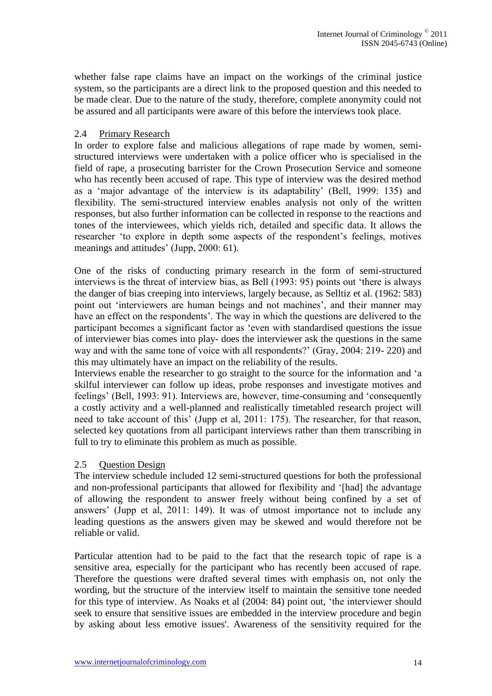whether false rape claims have an impact on the workings of the criminal justice system, so the participants are a direct link to the proposed question and this needed to be made clear. Due to the nature of the study, therefore, complete anonymity could not be assured and all participants were aware of this before the interviews took place.

## 2.4 Primary Research

In order to explore false and malicious allegations of rape made by women, semistructured interviews were undertaken with a police officer who is specialised in the field of rape, a prosecuting barrister for the Crown Prosecution Service and someone who has recently been accused of rape. This type of interview was the desired method as a "major advantage of the interview is its adaptability" (Bell, 1999: 135) and flexibility. The semi-structured interview enables analysis not only of the written responses, but also further information can be collected in response to the reactions and tones of the interviewees, which yields rich, detailed and specific data. It allows the researcher 'to explore in depth some aspects of the respondent's feelings, motives meanings and attitudes' (Jupp, 2000: 61).

One of the risks of conducting primary research in the form of semi-structured interviews is the threat of interview bias, as Bell (1993: 95) points out "there is always the danger of bias creeping into interviews, largely because, as Selltiz et al. (1962: 583) point out 'interviewers are human beings and not machines', and their manner may have an effect on the respondents'. The way in which the questions are delivered to the participant becomes a significant factor as "even with standardised questions the issue of interviewer bias comes into play- does the interviewer ask the questions in the same way and with the same tone of voice with all respondents?" (Gray, 2004: 219- 220) and this may ultimately have an impact on the reliability of the results.

Interviews enable the researcher to go straight to the source for the information and "a skilful interviewer can follow up ideas, probe responses and investigate motives and feelings" (Bell, 1993: 91). Interviews are, however, time-consuming and "consequently a costly activity and a well-planned and realistically timetabled research project will need to take account of this' (Jupp et al, 2011: 175). The researcher, for that reason, selected key quotations from all participant interviews rather than them transcribing in full to try to eliminate this problem as much as possible.

# 2.5 Question Design

The interview schedule included 12 semi-structured questions for both the professional and non-professional participants that allowed for flexibility and "[had] the advantage of allowing the respondent to answer freely without being confined by a set of answers" (Jupp et al, 2011: 149). It was of utmost importance not to include any leading questions as the answers given may be skewed and would therefore not be reliable or valid.

Particular attention had to be paid to the fact that the research topic of rape is a sensitive area, especially for the participant who has recently been accused of rape. Therefore the questions were drafted several times with emphasis on, not only the wording, but the structure of the interview itself to maintain the sensitive tone needed for this type of interview. As Noaks et al (2004: 84) point out, "the interviewer should seek to ensure that sensitive issues are embedded in the interview procedure and begin by asking about less emotive issues'. Awareness of the sensitivity required for the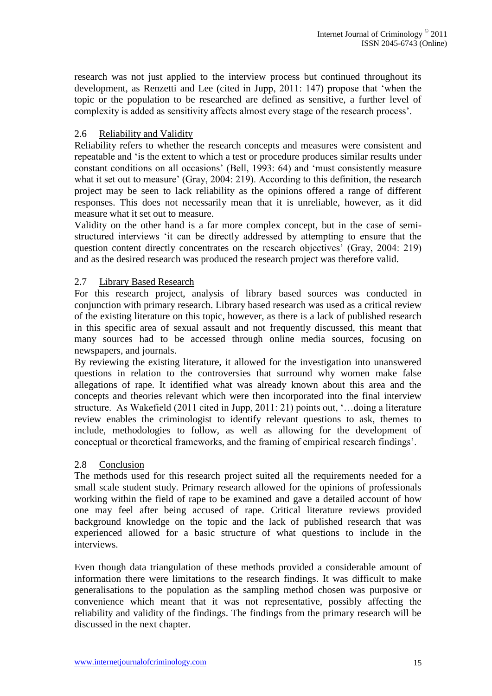research was not just applied to the interview process but continued throughout its development, as Renzetti and Lee (cited in Jupp, 2011: 147) propose that "when the topic or the population to be researched are defined as sensitive, a further level of complexity is added as sensitivity affects almost every stage of the research process".

## 2.6 Reliability and Validity

Reliability refers to whether the research concepts and measures were consistent and repeatable and "is the extent to which a test or procedure produces similar results under constant conditions on all occasions" (Bell, 1993: 64) and "must consistently measure what it set out to measure' (Gray, 2004: 219). According to this definition, the research project may be seen to lack reliability as the opinions offered a range of different responses. This does not necessarily mean that it is unreliable, however, as it did measure what it set out to measure.

Validity on the other hand is a far more complex concept, but in the case of semistructured interviews "it can be directly addressed by attempting to ensure that the question content directly concentrates on the research objectives" (Gray, 2004: 219) and as the desired research was produced the research project was therefore valid.

## 2.7 Library Based Research

For this research project, analysis of library based sources was conducted in conjunction with primary research. Library based research was used as a critical review of the existing literature on this topic, however, as there is a lack of published research in this specific area of sexual assault and not frequently discussed, this meant that many sources had to be accessed through online media sources, focusing on newspapers, and journals.

By reviewing the existing literature, it allowed for the investigation into unanswered questions in relation to the controversies that surround why women make false allegations of rape. It identified what was already known about this area and the concepts and theories relevant which were then incorporated into the final interview structure. As Wakefield (2011 cited in Jupp, 2011: 21) points out, '...doing a literature review enables the criminologist to identify relevant questions to ask, themes to include, methodologies to follow, as well as allowing for the development of conceptual or theoretical frameworks, and the framing of empirical research findings".

#### 2.8 Conclusion

The methods used for this research project suited all the requirements needed for a small scale student study. Primary research allowed for the opinions of professionals working within the field of rape to be examined and gave a detailed account of how one may feel after being accused of rape. Critical literature reviews provided background knowledge on the topic and the lack of published research that was experienced allowed for a basic structure of what questions to include in the interviews.

Even though data triangulation of these methods provided a considerable amount of information there were limitations to the research findings. It was difficult to make generalisations to the population as the sampling method chosen was purposive or convenience which meant that it was not representative, possibly affecting the reliability and validity of the findings. The findings from the primary research will be discussed in the next chapter.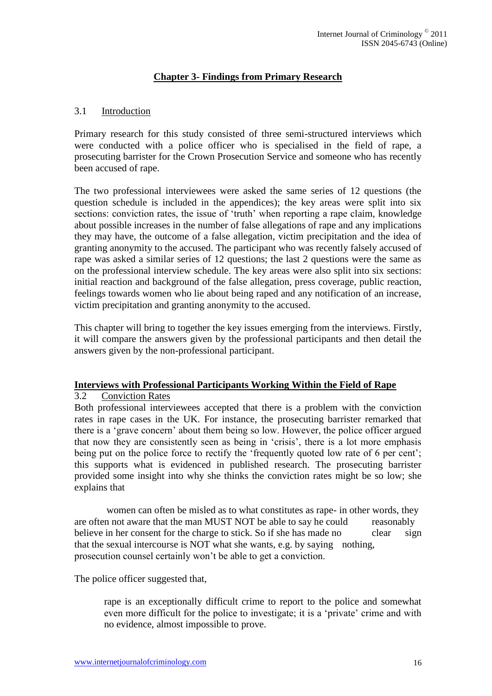# **Chapter 3- Findings from Primary Research**

## 3.1 Introduction

Primary research for this study consisted of three semi-structured interviews which were conducted with a police officer who is specialised in the field of rape, a prosecuting barrister for the Crown Prosecution Service and someone who has recently been accused of rape.

The two professional interviewees were asked the same series of 12 questions (the question schedule is included in the appendices); the key areas were split into six sections: conviction rates, the issue of 'truth' when reporting a rape claim, knowledge about possible increases in the number of false allegations of rape and any implications they may have, the outcome of a false allegation, victim precipitation and the idea of granting anonymity to the accused. The participant who was recently falsely accused of rape was asked a similar series of 12 questions; the last 2 questions were the same as on the professional interview schedule. The key areas were also split into six sections: initial reaction and background of the false allegation, press coverage, public reaction, feelings towards women who lie about being raped and any notification of an increase, victim precipitation and granting anonymity to the accused.

This chapter will bring to together the key issues emerging from the interviews. Firstly, it will compare the answers given by the professional participants and then detail the answers given by the non-professional participant.

#### **Interviews with Professional Participants Working Within the Field of Rape**

#### 3.2 Conviction Rates

Both professional interviewees accepted that there is a problem with the conviction rates in rape cases in the UK. For instance, the prosecuting barrister remarked that there is a "grave concern" about them being so low. However, the police officer argued that now they are consistently seen as being in "crisis", there is a lot more emphasis being put on the police force to rectify the 'frequently quoted low rate of 6 per cent'; this supports what is evidenced in published research. The prosecuting barrister provided some insight into why she thinks the conviction rates might be so low; she explains that

women can often be misled as to what constitutes as rape- in other words, they are often not aware that the man MUST NOT be able to say he could reasonably believe in her consent for the charge to stick. So if she has made no clear sign that the sexual intercourse is NOT what she wants, e.g. by saying nothing, prosecution counsel certainly won"t be able to get a conviction.

The police officer suggested that,

rape is an exceptionally difficult crime to report to the police and somewhat even more difficult for the police to investigate; it is a "private" crime and with no evidence, almost impossible to prove.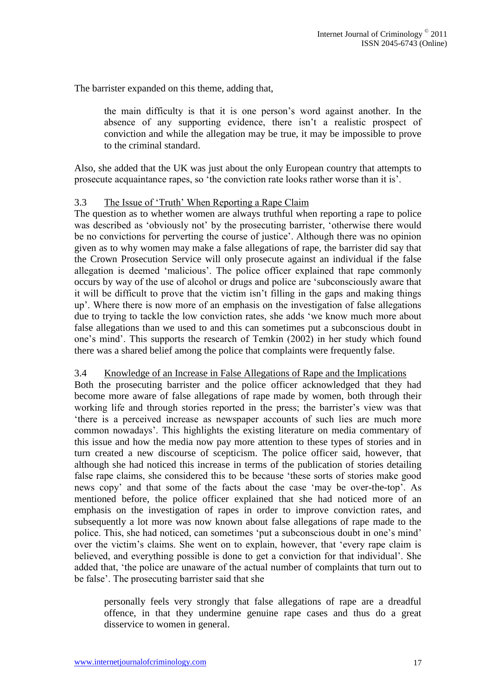The barrister expanded on this theme, adding that,

the main difficulty is that it is one person"s word against another. In the absence of any supporting evidence, there isn"t a realistic prospect of conviction and while the allegation may be true, it may be impossible to prove to the criminal standard.

Also, she added that the UK was just about the only European country that attempts to prosecute acquaintance rapes, so "the conviction rate looks rather worse than it is".

## 3.3 The Issue of "Truth" When Reporting a Rape Claim

The question as to whether women are always truthful when reporting a rape to police was described as "obviously not" by the prosecuting barrister, "otherwise there would be no convictions for perverting the course of justice". Although there was no opinion given as to why women may make a false allegations of rape, the barrister did say that the Crown Prosecution Service will only prosecute against an individual if the false allegation is deemed "malicious". The police officer explained that rape commonly occurs by way of the use of alcohol or drugs and police are "subconsciously aware that it will be difficult to prove that the victim isn"t filling in the gaps and making things up". Where there is now more of an emphasis on the investigation of false allegations due to trying to tackle the low conviction rates, she adds "we know much more about false allegations than we used to and this can sometimes put a subconscious doubt in one"s mind". This supports the research of Temkin (2002) in her study which found there was a shared belief among the police that complaints were frequently false.

#### 3.4 Knowledge of an Increase in False Allegations of Rape and the Implications

Both the prosecuting barrister and the police officer acknowledged that they had become more aware of false allegations of rape made by women, both through their working life and through stories reported in the press; the barrister's view was that "there is a perceived increase as newspaper accounts of such lies are much more common nowadays". This highlights the existing literature on media commentary of this issue and how the media now pay more attention to these types of stories and in turn created a new discourse of scepticism. The police officer said, however, that although she had noticed this increase in terms of the publication of stories detailing false rape claims, she considered this to be because "these sorts of stories make good news copy' and that some of the facts about the case 'may be over-the-top'. As mentioned before, the police officer explained that she had noticed more of an emphasis on the investigation of rapes in order to improve conviction rates, and subsequently a lot more was now known about false allegations of rape made to the police. This, she had noticed, can sometimes "put a subconscious doubt in one"s mind" over the victim"s claims. She went on to explain, however, that "every rape claim is believed, and everything possible is done to get a conviction for that individual". She added that, "the police are unaware of the actual number of complaints that turn out to be false". The prosecuting barrister said that she

personally feels very strongly that false allegations of rape are a dreadful offence, in that they undermine genuine rape cases and thus do a great disservice to women in general.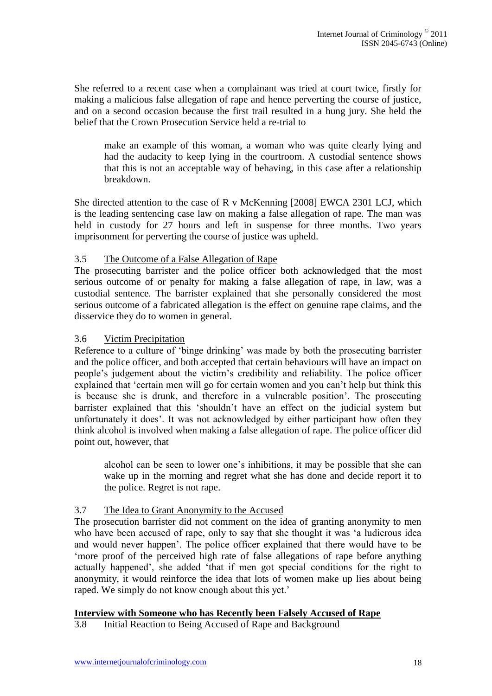She referred to a recent case when a complainant was tried at court twice, firstly for making a malicious false allegation of rape and hence perverting the course of justice, and on a second occasion because the first trail resulted in a hung jury. She held the belief that the Crown Prosecution Service held a re-trial to

make an example of this woman, a woman who was quite clearly lying and had the audacity to keep lying in the courtroom. A custodial sentence shows that this is not an acceptable way of behaving, in this case after a relationship breakdown.

She directed attention to the case of R v McKenning [2008] EWCA 2301 LCJ, which is the leading sentencing case law on making a false allegation of rape. The man was held in custody for 27 hours and left in suspense for three months. Two years imprisonment for perverting the course of justice was upheld.

## 3.5 The Outcome of a False Allegation of Rape

The prosecuting barrister and the police officer both acknowledged that the most serious outcome of or penalty for making a false allegation of rape, in law, was a custodial sentence. The barrister explained that she personally considered the most serious outcome of a fabricated allegation is the effect on genuine rape claims, and the disservice they do to women in general.

#### 3.6 Victim Precipitation

Reference to a culture of 'binge drinking' was made by both the prosecuting barrister and the police officer, and both accepted that certain behaviours will have an impact on people"s judgement about the victim"s credibility and reliability. The police officer explained that "certain men will go for certain women and you can"t help but think this is because she is drunk, and therefore in a vulnerable position". The prosecuting barrister explained that this "shouldn"t have an effect on the judicial system but unfortunately it does". It was not acknowledged by either participant how often they think alcohol is involved when making a false allegation of rape. The police officer did point out, however, that

alcohol can be seen to lower one"s inhibitions, it may be possible that she can wake up in the morning and regret what she has done and decide report it to the police. Regret is not rape.

# 3.7 The Idea to Grant Anonymity to the Accused

The prosecution barrister did not comment on the idea of granting anonymity to men who have been accused of rape, only to say that she thought it was "a ludicrous idea and would never happen". The police officer explained that there would have to be "more proof of the perceived high rate of false allegations of rape before anything actually happened", she added "that if men got special conditions for the right to anonymity, it would reinforce the idea that lots of women make up lies about being raped. We simply do not know enough about this yet.'

#### **Interview with Someone who has Recently been Falsely Accused of Rape**

3.8 Initial Reaction to Being Accused of Rape and Background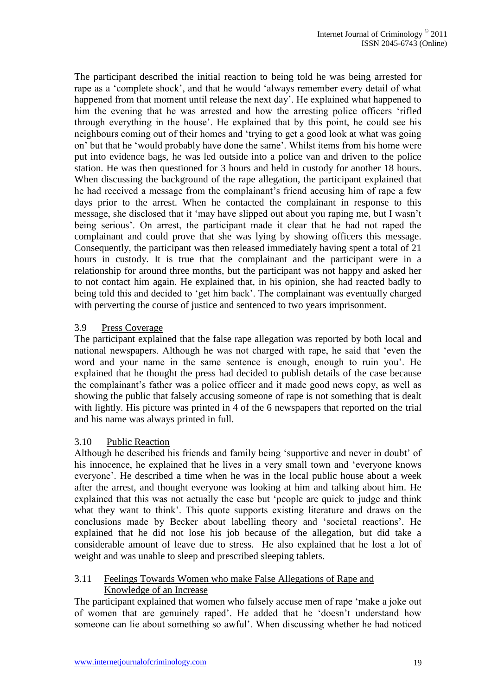The participant described the initial reaction to being told he was being arrested for rape as a "complete shock", and that he would "always remember every detail of what happened from that moment until release the next day'. He explained what happened to him the evening that he was arrested and how the arresting police officers 'rifled through everything in the house". He explained that by this point, he could see his neighbours coming out of their homes and "trying to get a good look at what was going on" but that he "would probably have done the same". Whilst items from his home were put into evidence bags, he was led outside into a police van and driven to the police station. He was then questioned for 3 hours and held in custody for another 18 hours. When discussing the background of the rape allegation, the participant explained that he had received a message from the complainant's friend accusing him of rape a few days prior to the arrest. When he contacted the complainant in response to this message, she disclosed that it "may have slipped out about you raping me, but I wasn"t being serious'. On arrest, the participant made it clear that he had not raped the complainant and could prove that she was lying by showing officers this message. Consequently, the participant was then released immediately having spent a total of 21 hours in custody. It is true that the complainant and the participant were in a relationship for around three months, but the participant was not happy and asked her to not contact him again. He explained that, in his opinion, she had reacted badly to being told this and decided to "get him back". The complainant was eventually charged with perverting the course of justice and sentenced to two years imprisonment.

# 3.9 Press Coverage

The participant explained that the false rape allegation was reported by both local and national newspapers. Although he was not charged with rape, he said that "even the word and your name in the same sentence is enough, enough to ruin you". He explained that he thought the press had decided to publish details of the case because the complainant"s father was a police officer and it made good news copy, as well as showing the public that falsely accusing someone of rape is not something that is dealt with lightly. His picture was printed in 4 of the 6 newspapers that reported on the trial and his name was always printed in full.

# 3.10 Public Reaction

Although he described his friends and family being "supportive and never in doubt" of his innocence, he explained that he lives in a very small town and "everyone knows everyone". He described a time when he was in the local public house about a week after the arrest, and thought everyone was looking at him and talking about him. He explained that this was not actually the case but "people are quick to judge and think what they want to think'. This quote supports existing literature and draws on the conclusions made by Becker about labelling theory and "societal reactions". He explained that he did not lose his job because of the allegation, but did take a considerable amount of leave due to stress. He also explained that he lost a lot of weight and was unable to sleep and prescribed sleeping tablets.

#### 3.11 Feelings Towards Women who make False Allegations of Rape and Knowledge of an Increase

The participant explained that women who falsely accuse men of rape "make a joke out of women that are genuinely raped". He added that he "doesn"t understand how someone can lie about something so awful". When discussing whether he had noticed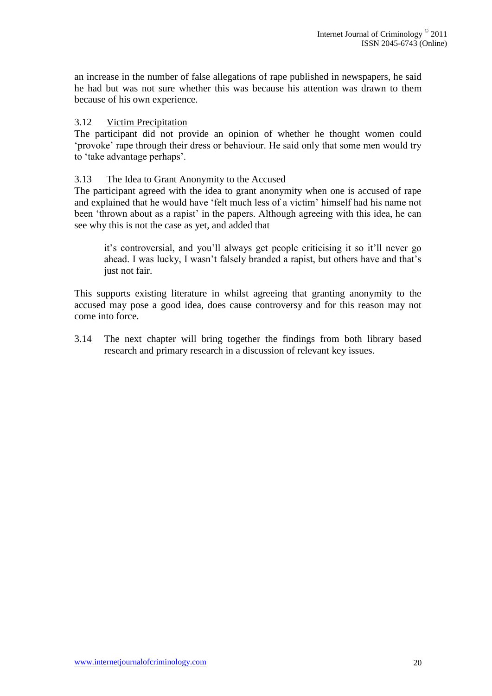an increase in the number of false allegations of rape published in newspapers, he said he had but was not sure whether this was because his attention was drawn to them because of his own experience.

## 3.12 Victim Precipitation

The participant did not provide an opinion of whether he thought women could "provoke" rape through their dress or behaviour. He said only that some men would try to 'take advantage perhaps'.

## 3.13 The Idea to Grant Anonymity to the Accused

The participant agreed with the idea to grant anonymity when one is accused of rape and explained that he would have 'felt much less of a victim' himself had his name not been 'thrown about as a rapist' in the papers. Although agreeing with this idea, he can see why this is not the case as yet, and added that

it"s controversial, and you"ll always get people criticising it so it"ll never go ahead. I was lucky, I wasn"t falsely branded a rapist, but others have and that"s just not fair.

This supports existing literature in whilst agreeing that granting anonymity to the accused may pose a good idea, does cause controversy and for this reason may not come into force.

3.14 The next chapter will bring together the findings from both library based research and primary research in a discussion of relevant key issues.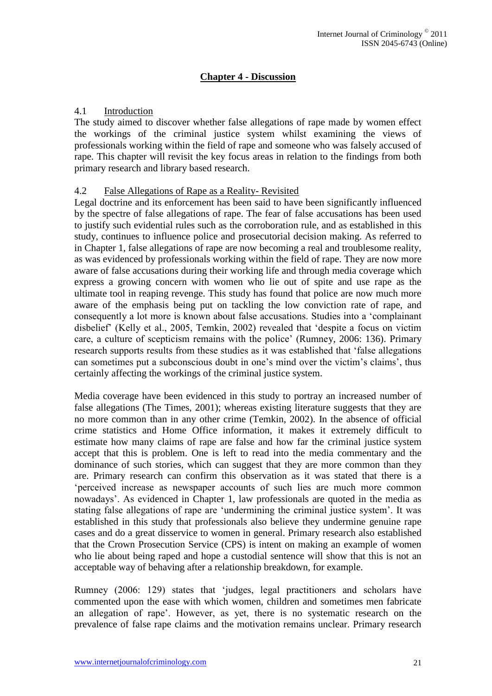# **Chapter 4 - Discussion**

## 4.1 Introduction

The study aimed to discover whether false allegations of rape made by women effect the workings of the criminal justice system whilst examining the views of professionals working within the field of rape and someone who was falsely accused of rape. This chapter will revisit the key focus areas in relation to the findings from both primary research and library based research.

## 4.2 False Allegations of Rape as a Reality- Revisited

Legal doctrine and its enforcement has been said to have been significantly influenced by the spectre of false allegations of rape. The fear of false accusations has been used to justify such evidential rules such as the corroboration rule, and as established in this study, continues to influence police and prosecutorial decision making. As referred to in Chapter 1, false allegations of rape are now becoming a real and troublesome reality, as was evidenced by professionals working within the field of rape. They are now more aware of false accusations during their working life and through media coverage which express a growing concern with women who lie out of spite and use rape as the ultimate tool in reaping revenge. This study has found that police are now much more aware of the emphasis being put on tackling the low conviction rate of rape, and consequently a lot more is known about false accusations. Studies into a "complainant disbelief" (Kelly et al., 2005, Temkin, 2002) revealed that "despite a focus on victim care, a culture of scepticism remains with the police" (Rumney, 2006: 136). Primary research supports results from these studies as it was established that "false allegations can sometimes put a subconscious doubt in one"s mind over the victim"s claims", thus certainly affecting the workings of the criminal justice system.

Media coverage have been evidenced in this study to portray an increased number of false allegations (The Times, 2001); whereas existing literature suggests that they are no more common than in any other crime (Temkin, 2002). In the absence of official crime statistics and Home Office information, it makes it extremely difficult to estimate how many claims of rape are false and how far the criminal justice system accept that this is problem. One is left to read into the media commentary and the dominance of such stories, which can suggest that they are more common than they are. Primary research can confirm this observation as it was stated that there is a "perceived increase as newspaper accounts of such lies are much more common nowadays". As evidenced in Chapter 1, law professionals are quoted in the media as stating false allegations of rape are "undermining the criminal justice system". It was established in this study that professionals also believe they undermine genuine rape cases and do a great disservice to women in general. Primary research also established that the Crown Prosecution Service (CPS) is intent on making an example of women who lie about being raped and hope a custodial sentence will show that this is not an acceptable way of behaving after a relationship breakdown, for example.

Rumney (2006: 129) states that "judges, legal practitioners and scholars have commented upon the ease with which women, children and sometimes men fabricate an allegation of rape". However, as yet, there is no systematic research on the prevalence of false rape claims and the motivation remains unclear. Primary research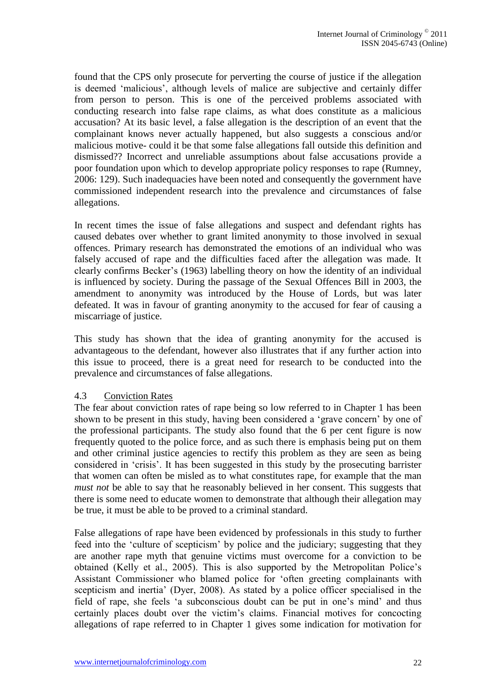found that the CPS only prosecute for perverting the course of justice if the allegation is deemed "malicious", although levels of malice are subjective and certainly differ from person to person. This is one of the perceived problems associated with conducting research into false rape claims, as what does constitute as a malicious accusation? At its basic level, a false allegation is the description of an event that the complainant knows never actually happened, but also suggests a conscious and/or malicious motive- could it be that some false allegations fall outside this definition and dismissed?? Incorrect and unreliable assumptions about false accusations provide a poor foundation upon which to develop appropriate policy responses to rape (Rumney, 2006: 129). Such inadequacies have been noted and consequently the government have commissioned independent research into the prevalence and circumstances of false allegations.

In recent times the issue of false allegations and suspect and defendant rights has caused debates over whether to grant limited anonymity to those involved in sexual offences. Primary research has demonstrated the emotions of an individual who was falsely accused of rape and the difficulties faced after the allegation was made. It clearly confirms Becker"s (1963) labelling theory on how the identity of an individual is influenced by society. During the passage of the Sexual Offences Bill in 2003, the amendment to anonymity was introduced by the House of Lords, but was later defeated. It was in favour of granting anonymity to the accused for fear of causing a miscarriage of justice.

This study has shown that the idea of granting anonymity for the accused is advantageous to the defendant, however also illustrates that if any further action into this issue to proceed, there is a great need for research to be conducted into the prevalence and circumstances of false allegations.

# 4.3 Conviction Rates

The fear about conviction rates of rape being so low referred to in Chapter 1 has been shown to be present in this study, having been considered a "grave concern" by one of the professional participants. The study also found that the 6 per cent figure is now frequently quoted to the police force, and as such there is emphasis being put on them and other criminal justice agencies to rectify this problem as they are seen as being considered in "crisis". It has been suggested in this study by the prosecuting barrister that women can often be misled as to what constitutes rape, for example that the man *must not* be able to say that he reasonably believed in her consent. This suggests that there is some need to educate women to demonstrate that although their allegation may be true, it must be able to be proved to a criminal standard.

False allegations of rape have been evidenced by professionals in this study to further feed into the "culture of scepticism" by police and the judiciary; suggesting that they are another rape myth that genuine victims must overcome for a conviction to be obtained (Kelly et al., 2005). This is also supported by the Metropolitan Police"s Assistant Commissioner who blamed police for "often greeting complainants with scepticism and inertia" (Dyer, 2008). As stated by a police officer specialised in the field of rape, she feels "a subconscious doubt can be put in one"s mind" and thus certainly places doubt over the victim"s claims. Financial motives for concocting allegations of rape referred to in Chapter 1 gives some indication for motivation for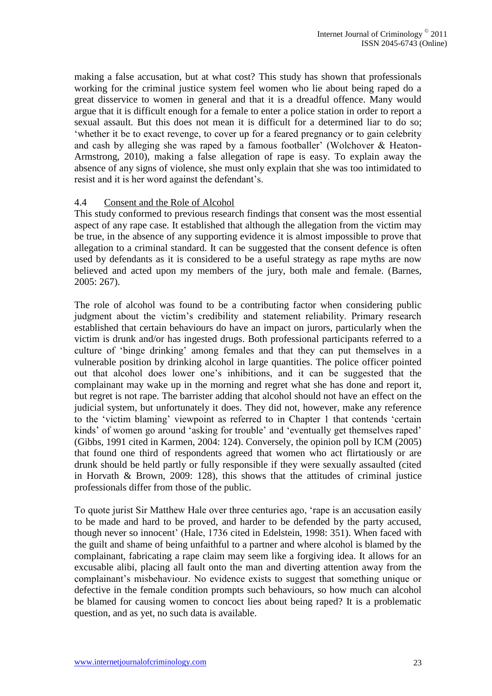making a false accusation, but at what cost? This study has shown that professionals working for the criminal justice system feel women who lie about being raped do a great disservice to women in general and that it is a dreadful offence. Many would argue that it is difficult enough for a female to enter a police station in order to report a sexual assault. But this does not mean it is difficult for a determined liar to do so; "whether it be to exact revenge, to cover up for a feared pregnancy or to gain celebrity and cash by alleging she was raped by a famous footballer' (Wolchover & Heaton-Armstrong, 2010), making a false allegation of rape is easy. To explain away the absence of any signs of violence, she must only explain that she was too intimidated to resist and it is her word against the defendant"s.

## 4.4 Consent and the Role of Alcohol

This study conformed to previous research findings that consent was the most essential aspect of any rape case. It established that although the allegation from the victim may be true, in the absence of any supporting evidence it is almost impossible to prove that allegation to a criminal standard. It can be suggested that the consent defence is often used by defendants as it is considered to be a useful strategy as rape myths are now believed and acted upon my members of the jury, both male and female. (Barnes, 2005: 267).

The role of alcohol was found to be a contributing factor when considering public judgment about the victim"s credibility and statement reliability. Primary research established that certain behaviours do have an impact on jurors, particularly when the victim is drunk and/or has ingested drugs. Both professional participants referred to a culture of "binge drinking" among females and that they can put themselves in a vulnerable position by drinking alcohol in large quantities. The police officer pointed out that alcohol does lower one"s inhibitions, and it can be suggested that the complainant may wake up in the morning and regret what she has done and report it, but regret is not rape. The barrister adding that alcohol should not have an effect on the judicial system, but unfortunately it does. They did not, however, make any reference to the "victim blaming" viewpoint as referred to in Chapter 1 that contends "certain kinds' of women go around 'asking for trouble' and 'eventually get themselves raped' (Gibbs, 1991 cited in Karmen, 2004: 124). Conversely, the opinion poll by ICM (2005) that found one third of respondents agreed that women who act flirtatiously or are drunk should be held partly or fully responsible if they were sexually assaulted (cited in Horvath & Brown, 2009: 128), this shows that the attitudes of criminal justice professionals differ from those of the public.

To quote jurist Sir Matthew Hale over three centuries ago, "rape is an accusation easily to be made and hard to be proved, and harder to be defended by the party accused, though never so innocent" (Hale, 1736 cited in Edelstein, 1998: 351). When faced with the guilt and shame of being unfaithful to a partner and where alcohol is blamed by the complainant, fabricating a rape claim may seem like a forgiving idea. It allows for an excusable alibi, placing all fault onto the man and diverting attention away from the complainant"s misbehaviour. No evidence exists to suggest that something unique or defective in the female condition prompts such behaviours, so how much can alcohol be blamed for causing women to concoct lies about being raped? It is a problematic question, and as yet, no such data is available.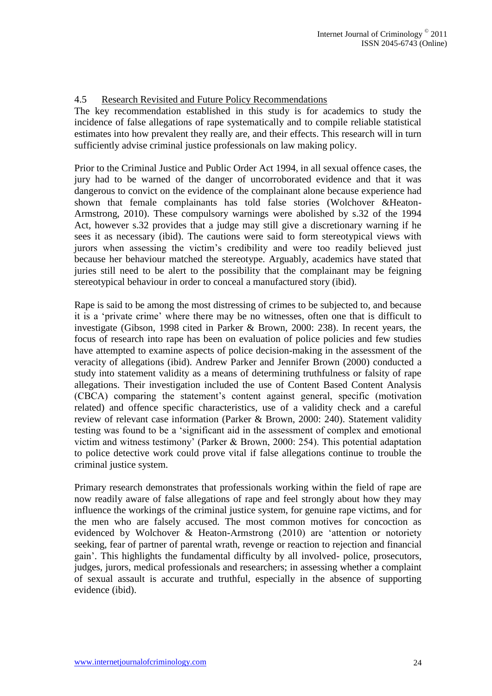# 4.5 Research Revisited and Future Policy Recommendations

The key recommendation established in this study is for academics to study the incidence of false allegations of rape systematically and to compile reliable statistical estimates into how prevalent they really are, and their effects. This research will in turn sufficiently advise criminal justice professionals on law making policy.

Prior to the Criminal Justice and Public Order Act 1994, in all sexual offence cases, the jury had to be warned of the danger of uncorroborated evidence and that it was dangerous to convict on the evidence of the complainant alone because experience had shown that female complainants has told false stories (Wolchover &Heaton-Armstrong, 2010). These compulsory warnings were abolished by s.32 of the 1994 Act, however s.32 provides that a judge may still give a discretionary warning if he sees it as necessary (ibid). The cautions were said to form stereotypical views with jurors when assessing the victim"s credibility and were too readily believed just because her behaviour matched the stereotype. Arguably, academics have stated that juries still need to be alert to the possibility that the complainant may be feigning stereotypical behaviour in order to conceal a manufactured story (ibid).

Rape is said to be among the most distressing of crimes to be subjected to, and because it is a "private crime" where there may be no witnesses, often one that is difficult to investigate (Gibson, 1998 cited in Parker & Brown, 2000: 238). In recent years, the focus of research into rape has been on evaluation of police policies and few studies have attempted to examine aspects of police decision-making in the assessment of the veracity of allegations (ibid). Andrew Parker and Jennifer Brown (2000) conducted a study into statement validity as a means of determining truthfulness or falsity of rape allegations. Their investigation included the use of Content Based Content Analysis (CBCA) comparing the statement"s content against general, specific (motivation related) and offence specific characteristics, use of a validity check and a careful review of relevant case information (Parker & Brown, 2000: 240). Statement validity testing was found to be a "significant aid in the assessment of complex and emotional victim and witness testimony" (Parker & Brown, 2000: 254). This potential adaptation to police detective work could prove vital if false allegations continue to trouble the criminal justice system.

Primary research demonstrates that professionals working within the field of rape are now readily aware of false allegations of rape and feel strongly about how they may influence the workings of the criminal justice system, for genuine rape victims, and for the men who are falsely accused. The most common motives for concoction as evidenced by Wolchover & Heaton-Armstrong (2010) are "attention or notoriety seeking, fear of partner of parental wrath, revenge or reaction to rejection and financial gain". This highlights the fundamental difficulty by all involved- police, prosecutors, judges, jurors, medical professionals and researchers; in assessing whether a complaint of sexual assault is accurate and truthful, especially in the absence of supporting evidence (ibid).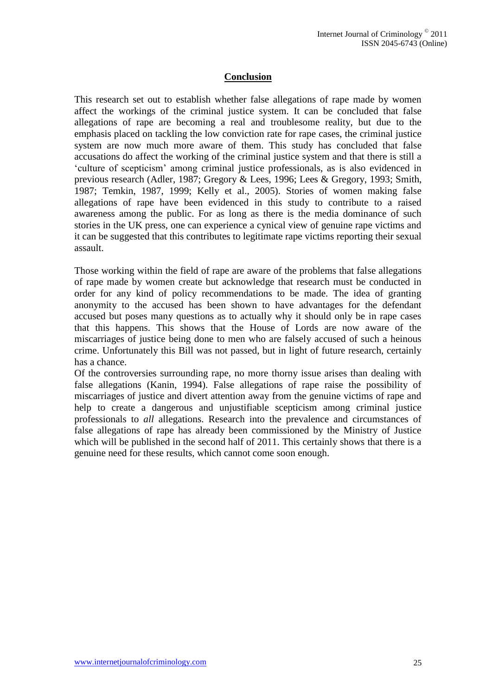# **Conclusion**

This research set out to establish whether false allegations of rape made by women affect the workings of the criminal justice system. It can be concluded that false allegations of rape are becoming a real and troublesome reality, but due to the emphasis placed on tackling the low conviction rate for rape cases, the criminal justice system are now much more aware of them. This study has concluded that false accusations do affect the working of the criminal justice system and that there is still a "culture of scepticism" among criminal justice professionals, as is also evidenced in previous research (Adler, 1987; Gregory & Lees, 1996; Lees & Gregory, 1993; Smith, 1987; Temkin, 1987, 1999; Kelly et al., 2005). Stories of women making false allegations of rape have been evidenced in this study to contribute to a raised awareness among the public. For as long as there is the media dominance of such stories in the UK press, one can experience a cynical view of genuine rape victims and it can be suggested that this contributes to legitimate rape victims reporting their sexual assault.

Those working within the field of rape are aware of the problems that false allegations of rape made by women create but acknowledge that research must be conducted in order for any kind of policy recommendations to be made. The idea of granting anonymity to the accused has been shown to have advantages for the defendant accused but poses many questions as to actually why it should only be in rape cases that this happens. This shows that the House of Lords are now aware of the miscarriages of justice being done to men who are falsely accused of such a heinous crime. Unfortunately this Bill was not passed, but in light of future research, certainly has a chance.

Of the controversies surrounding rape, no more thorny issue arises than dealing with false allegations (Kanin, 1994). False allegations of rape raise the possibility of miscarriages of justice and divert attention away from the genuine victims of rape and help to create a dangerous and unjustifiable scepticism among criminal justice professionals to *all* allegations. Research into the prevalence and circumstances of false allegations of rape has already been commissioned by the Ministry of Justice which will be published in the second half of 2011. This certainly shows that there is a genuine need for these results, which cannot come soon enough.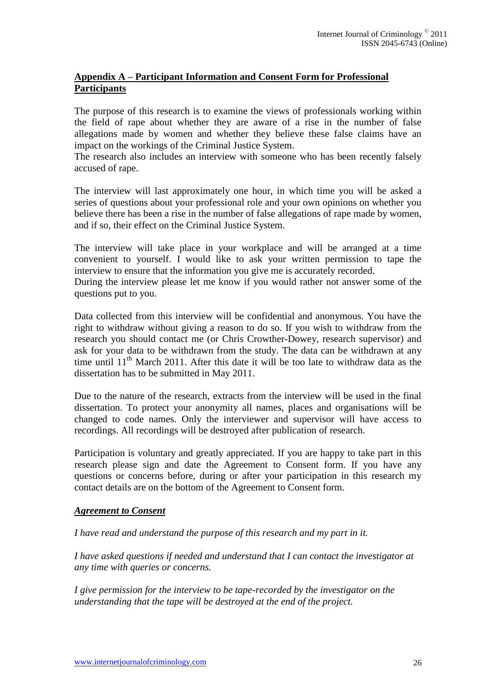# **Appendix A – Participant Information and Consent Form for Professional Participants**

The purpose of this research is to examine the views of professionals working within the field of rape about whether they are aware of a rise in the number of false allegations made by women and whether they believe these false claims have an impact on the workings of the Criminal Justice System.

The research also includes an interview with someone who has been recently falsely accused of rape.

The interview will last approximately one hour, in which time you will be asked a series of questions about your professional role and your own opinions on whether you believe there has been a rise in the number of false allegations of rape made by women, and if so, their effect on the Criminal Justice System.

The interview will take place in your workplace and will be arranged at a time convenient to yourself. I would like to ask your written permission to tape the interview to ensure that the information you give me is accurately recorded.

During the interview please let me know if you would rather not answer some of the questions put to you.

Data collected from this interview will be confidential and anonymous. You have the right to withdraw without giving a reason to do so. If you wish to withdraw from the research you should contact me (or Chris Crowther-Dowey, research supervisor) and ask for your data to be withdrawn from the study. The data can be withdrawn at any time until  $11<sup>th</sup>$  March 2011. After this date it will be too late to withdraw data as the dissertation has to be submitted in May 2011.

Due to the nature of the research, extracts from the interview will be used in the final dissertation. To protect your anonymity all names, places and organisations will be changed to code names. Only the interviewer and supervisor will have access to recordings. All recordings will be destroyed after publication of research.

Participation is voluntary and greatly appreciated. If you are happy to take part in this research please sign and date the Agreement to Consent form. If you have any questions or concerns before, during or after your participation in this research my contact details are on the bottom of the Agreement to Consent form.

# *Agreement to Consent*

*I have read and understand the purpose of this research and my part in it.*

*I have asked questions if needed and understand that I can contact the investigator at any time with queries or concerns.*

*I give permission for the interview to be tape-recorded by the investigator on the understanding that the tape will be destroyed at the end of the project.*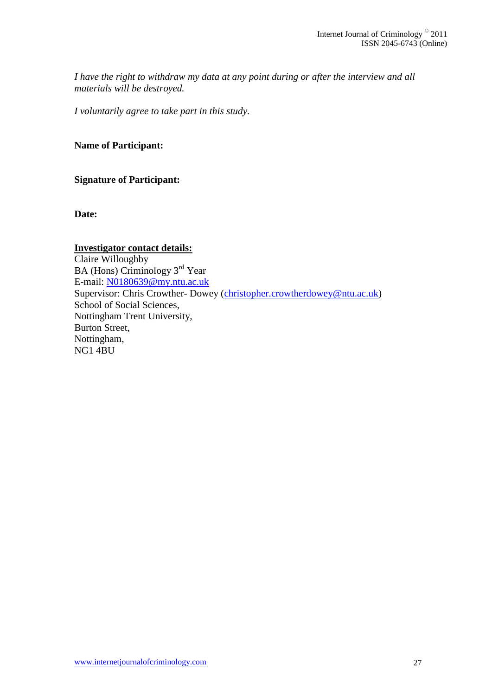*I have the right to withdraw my data at any point during or after the interview and all materials will be destroyed.*

*I voluntarily agree to take part in this study.*

**Name of Participant:**

**Signature of Participant:** 

**Date:**

# **Investigator contact details:** Claire Willoughby BA (Hons) Criminology 3rd Year E-mail: [N0180639@my.ntu.ac.uk](mailto:N0180639@my.ntu.ac.uk) Supervisor: Chris Crowther- Dowey [\(christopher.crowtherdowey@ntu.ac.uk\)](mailto:Christopher.crowtherdowey@ntu.ac.uk) School of Social Sciences, Nottingham Trent University, Burton Street, Nottingham, NG1 4BU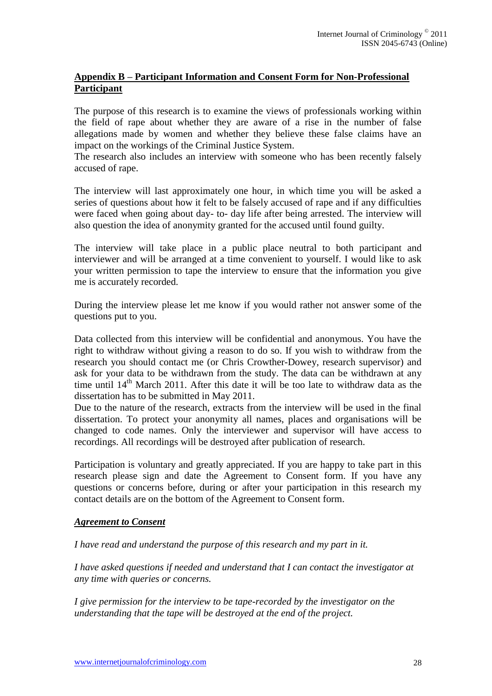# **Appendix B – Participant Information and Consent Form for Non-Professional Participant**

The purpose of this research is to examine the views of professionals working within the field of rape about whether they are aware of a rise in the number of false allegations made by women and whether they believe these false claims have an impact on the workings of the Criminal Justice System.

The research also includes an interview with someone who has been recently falsely accused of rape.

The interview will last approximately one hour, in which time you will be asked a series of questions about how it felt to be falsely accused of rape and if any difficulties were faced when going about day- to- day life after being arrested. The interview will also question the idea of anonymity granted for the accused until found guilty.

The interview will take place in a public place neutral to both participant and interviewer and will be arranged at a time convenient to yourself. I would like to ask your written permission to tape the interview to ensure that the information you give me is accurately recorded.

During the interview please let me know if you would rather not answer some of the questions put to you.

Data collected from this interview will be confidential and anonymous. You have the right to withdraw without giving a reason to do so. If you wish to withdraw from the research you should contact me (or Chris Crowther-Dowey, research supervisor) and ask for your data to be withdrawn from the study. The data can be withdrawn at any time until  $14<sup>th</sup>$  March 2011. After this date it will be too late to withdraw data as the dissertation has to be submitted in May 2011.

Due to the nature of the research, extracts from the interview will be used in the final dissertation. To protect your anonymity all names, places and organisations will be changed to code names. Only the interviewer and supervisor will have access to recordings. All recordings will be destroyed after publication of research.

Participation is voluntary and greatly appreciated. If you are happy to take part in this research please sign and date the Agreement to Consent form. If you have any questions or concerns before, during or after your participation in this research my contact details are on the bottom of the Agreement to Consent form.

#### *Agreement to Consent*

*I have read and understand the purpose of this research and my part in it.*

*I have asked questions if needed and understand that I can contact the investigator at any time with queries or concerns.*

*I give permission for the interview to be tape-recorded by the investigator on the understanding that the tape will be destroyed at the end of the project.*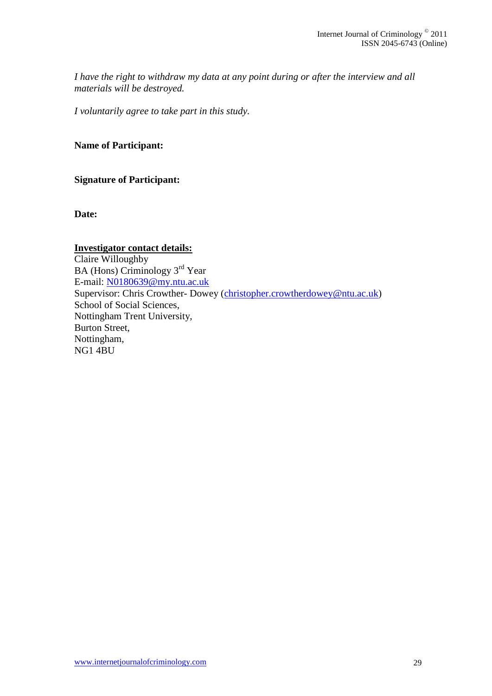*I have the right to withdraw my data at any point during or after the interview and all materials will be destroyed.*

*I voluntarily agree to take part in this study.*

**Name of Participant:**

**Signature of Participant:** 

**Date:**

# **Investigator contact details:** Claire Willoughby BA (Hons) Criminology 3rd Year E-mail: [N0180639@my.ntu.ac.uk](mailto:N0180639@my.ntu.ac.uk)  Supervisor: Chris Crowther- Dowey [\(christopher.crowtherdowey@ntu.ac.uk\)](mailto:Christopher.crowtherdowey@ntu.ac.uk) School of Social Sciences, Nottingham Trent University, Burton Street, Nottingham, NG1 4BU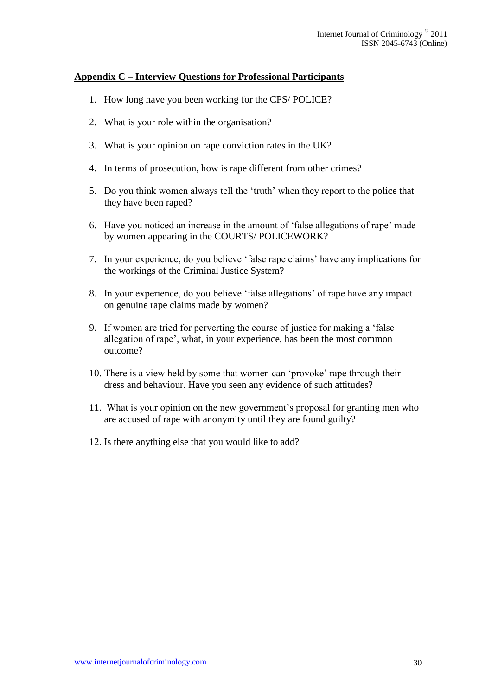## **Appendix C – Interview Questions for Professional Participants**

- 1. How long have you been working for the CPS/ POLICE?
- 2. What is your role within the organisation?
- 3. What is your opinion on rape conviction rates in the UK?
- 4. In terms of prosecution, how is rape different from other crimes?
- 5. Do you think women always tell the "truth" when they report to the police that they have been raped?
- 6. Have you noticed an increase in the amount of "false allegations of rape" made by women appearing in the COURTS/ POLICEWORK?
- 7. In your experience, do you believe "false rape claims" have any implications for the workings of the Criminal Justice System?
- 8. In your experience, do you believe "false allegations" of rape have any impact on genuine rape claims made by women?
- 9. If women are tried for perverting the course of justice for making a "false allegation of rape", what, in your experience, has been the most common outcome?
- 10. There is a view held by some that women can "provoke" rape through their dress and behaviour. Have you seen any evidence of such attitudes?
- 11. What is your opinion on the new government"s proposal for granting men who are accused of rape with anonymity until they are found guilty?
- 12. Is there anything else that you would like to add?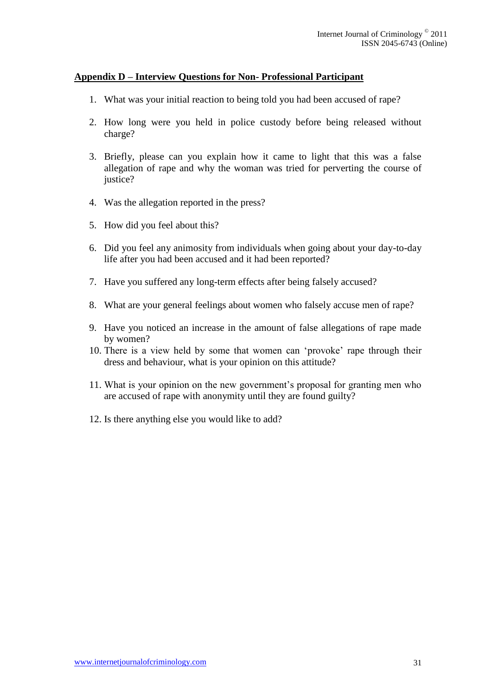## **Appendix D – Interview Questions for Non- Professional Participant**

- 1. What was your initial reaction to being told you had been accused of rape?
- 2. How long were you held in police custody before being released without charge?
- 3. Briefly, please can you explain how it came to light that this was a false allegation of rape and why the woman was tried for perverting the course of justice?
- 4. Was the allegation reported in the press?
- 5. How did you feel about this?
- 6. Did you feel any animosity from individuals when going about your day-to-day life after you had been accused and it had been reported?
- 7. Have you suffered any long-term effects after being falsely accused?
- 8. What are your general feelings about women who falsely accuse men of rape?
- 9. Have you noticed an increase in the amount of false allegations of rape made by women?
- 10. There is a view held by some that women can "provoke" rape through their dress and behaviour, what is your opinion on this attitude?
- 11. What is your opinion on the new government"s proposal for granting men who are accused of rape with anonymity until they are found guilty?
- 12. Is there anything else you would like to add?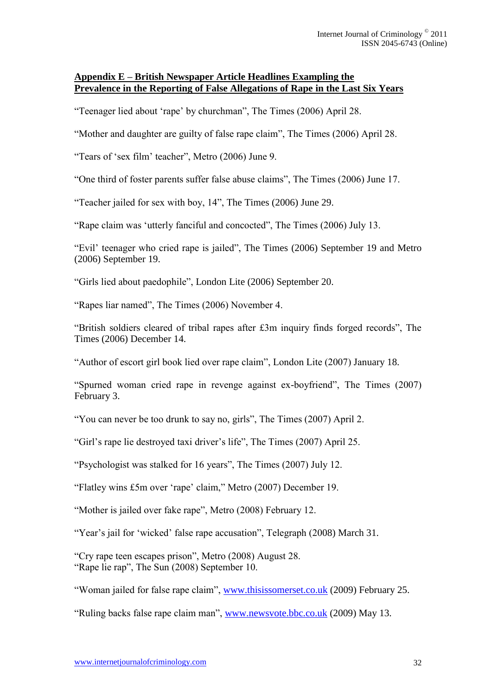## **Appendix E – British Newspaper Article Headlines Exampling the Prevalence in the Reporting of False Allegations of Rape in the Last Six Years**

"Teenager lied about "rape" by churchman", The Times (2006) April 28.

"Mother and daughter are guilty of false rape claim", The Times (2006) April 28.

"Tears of "sex film" teacher", Metro (2006) June 9.

"One third of foster parents suffer false abuse claims", The Times (2006) June 17.

"Teacher jailed for sex with boy, 14", The Times (2006) June 29.

"Rape claim was "utterly fanciful and concocted", The Times (2006) July 13.

"Evil" teenager who cried rape is jailed", The Times (2006) September 19 and Metro (2006) September 19.

"Girls lied about paedophile", London Lite (2006) September 20.

"Rapes liar named", The Times (2006) November 4.

"British soldiers cleared of tribal rapes after £3m inquiry finds forged records", The Times (2006) December 14.

"Author of escort girl book lied over rape claim", London Lite (2007) January 18.

"Spurned woman cried rape in revenge against ex-boyfriend", The Times (2007) February 3.

"You can never be too drunk to say no, girls", The Times (2007) April 2.

"Girl"s rape lie destroyed taxi driver"s life", The Times (2007) April 25.

"Psychologist was stalked for 16 years", The Times (2007) July 12.

"Flatley wins £5m over "rape" claim," Metro (2007) December 19.

"Mother is jailed over fake rape", Metro (2008) February 12.

"Year's jail for 'wicked' false rape accusation", Telegraph (2008) March 31.

"Cry rape teen escapes prison", Metro (2008) August 28. "Rape lie rap", The Sun (2008) September 10.

"Woman jailed for false rape claim", [www.thisissomerset.co.uk](http://www.thisissomerset.co.uk/) (2009) February 25.

"Ruling backs false rape claim man", [www.newsvote.bbc.co.uk](http://www.newsvote.bbc.co.uk/) (2009) May 13.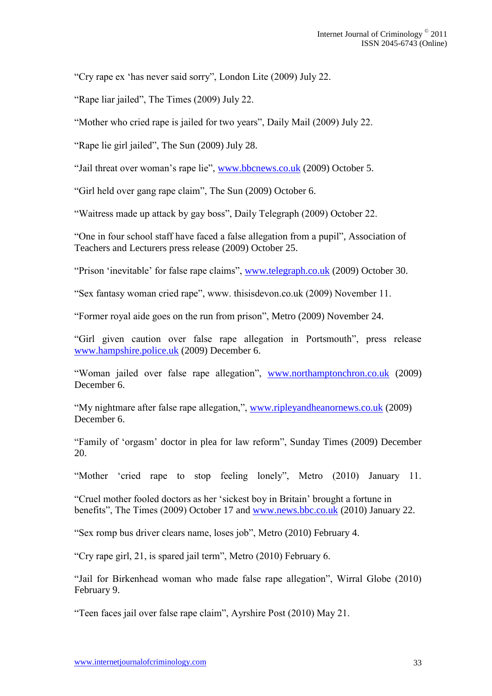"Cry rape ex "has never said sorry", London Lite (2009) July 22.

"Rape liar jailed", The Times (2009) July 22.

"Mother who cried rape is jailed for two years", Daily Mail (2009) July 22.

"Rape lie girl jailed", The Sun (2009) July 28.

"Jail threat over woman"s rape lie", [www.bbcnews.co.uk](http://www.bbcnews.co.uk/) (2009) October 5.

"Girl held over gang rape claim", The Sun (2009) October 6.

"Waitress made up attack by gay boss", Daily Telegraph (2009) October 22.

"One in four school staff have faced a false allegation from a pupil", Association of Teachers and Lecturers press release (2009) October 25.

"Prison "inevitable" for false rape claims", [www.telegraph.co.uk](http://www.telegraph.co.uk/) (2009) October 30.

"Sex fantasy woman cried rape", www. thisisdevon.co.uk (2009) November 11.

"Former royal aide goes on the run from prison", Metro (2009) November 24.

"Girl given caution over false rape allegation in Portsmouth", press release [www.hampshire.police.uk](http://www.hampshire.police.uk/) (2009) December 6.

"Woman jailed over false rape allegation", [www.northamptonchron.co.uk](http://www.northamptonchron.co.uk/) (2009) December 6.

"My nightmare after false rape allegation,", [www.ripleyandheanornews.co.uk](http://www.ripleyandheanornews.co.uk/) (2009) December 6.

"Family of "orgasm" doctor in plea for law reform", Sunday Times (2009) December 20.

"Mother "cried rape to stop feeling lonely", Metro (2010) January 11.

"Cruel mother fooled doctors as her "sickest boy in Britain" brought a fortune in benefits", The Times (2009) October 17 and [www.news.bbc.co.uk](http://www.news.bbc.co.uk/) (2010) January 22.

"Sex romp bus driver clears name, loses job", Metro (2010) February 4.

"Cry rape girl, 21, is spared jail term", Metro (2010) February 6.

"Jail for Birkenhead woman who made false rape allegation", Wirral Globe (2010) February 9.

"Teen faces jail over false rape claim", Ayrshire Post (2010) May 21.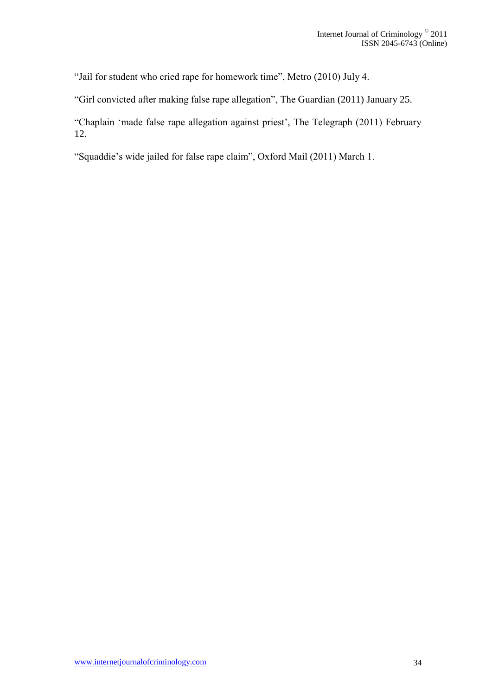"Jail for student who cried rape for homework time", Metro (2010) July 4.

"Girl convicted after making false rape allegation", The Guardian (2011) January 25.

"Chaplain "made false rape allegation against priest", The Telegraph (2011) February 12.

"Squaddie"s wide jailed for false rape claim", Oxford Mail (2011) March 1.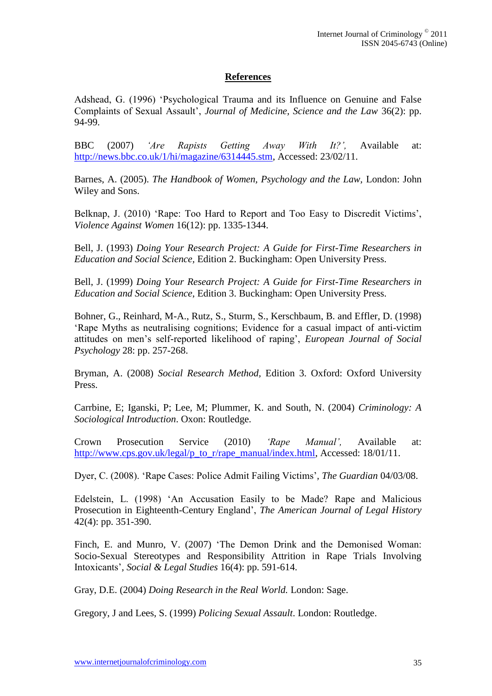# **References**

Adshead, G. (1996) "Psychological Trauma and its Influence on Genuine and False Complaints of Sexual Assault", *Journal of Medicine, Science and the Law* 36(2): pp. 94-99.

BBC (2007) *'Are Rapists Getting Away With It?',* Available at: [http://news.bbc.co.uk/1/hi/magazine/6314445.stm,](http://news.bbc.co.uk/1/hi/magazine/6314445.stm) Accessed: 23/02/11.

Barnes, A. (2005). *The Handbook of Women, Psychology and the Law,* London: John Wiley and Sons.

Belknap, J. (2010) 'Rape: Too Hard to Report and Too Easy to Discredit Victims', *Violence Against Women* 16(12): pp. 1335-1344.

Bell, J. (1993) *Doing Your Research Project: A Guide for First-Time Researchers in Education and Social Science,* Edition 2. Buckingham: Open University Press.

Bell, J. (1999) *Doing Your Research Project: A Guide for First-Time Researchers in Education and Social Science*, Edition 3. Buckingham: Open University Press.

Bohner, G., Reinhard, M-A., Rutz, S., Sturm, S., Kerschbaum, B. and Effler, D. (1998) "Rape Myths as neutralising cognitions; Evidence for a casual impact of anti-victim attitudes on men"s self-reported likelihood of raping", *European Journal of Social Psychology* 28: pp. 257-268.

Bryman, A. (2008) *Social Research Method,* Edition 3. Oxford: Oxford University Press.

Carrbine, E; Iganski, P; Lee, M; Plummer, K. and South, N. (2004) *Criminology: A Sociological Introduction*. Oxon: Routledge.

Crown Prosecution Service (2010) *'Rape Manual',* Available at: [http://www.cps.gov.uk/legal/p\\_to\\_r/rape\\_manual/index.html,](http://www.cps.gov.uk/legal/p_to_r/rape_manual/index.html) Accessed: 18/01/11.

Dyer, C. (2008). "Rape Cases: Police Admit Failing Victims"*, The Guardian* 04/03/08.

Edelstein, L. (1998) "An Accusation Easily to be Made? Rape and Malicious Prosecution in Eighteenth-Century England", *The American Journal of Legal History*  42(4): pp. 351-390.

Finch, E. and Munro, V. (2007) "The Demon Drink and the Demonised Woman: Socio-Sexual Stereotypes and Responsibility Attrition in Rape Trials Involving Intoxicants"*, Social & Legal Studies* 16(4): pp. 591-614.

Gray, D.E. (2004) *Doing Research in the Real World.* London: Sage.

Gregory, J and Lees, S. (1999) *Policing Sexual Assault*. London: Routledge.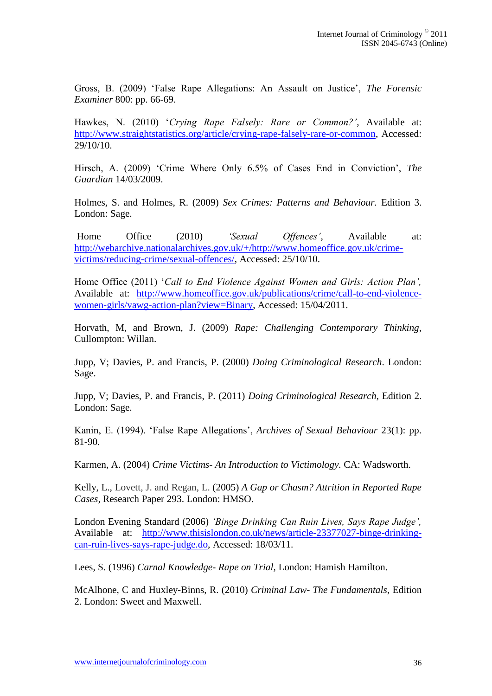Gross, B. (2009) "False Rape Allegations: An Assault on Justice", *The Forensic Examiner* 800: pp. 66-69.

Hawkes, N. (2010) "*Crying Rape Falsely: Rare or Common?'*, Available at: [http://www.straightstatistics.org/article/crying-rape-falsely-rare-or-common,](http://www.straightstatistics.org/article/crying-rape-falsely-rare-or-common) Accessed: 29/10/10.

Hirsch, A. (2009) 'Crime Where Only 6.5% of Cases End in Conviction', *The Guardian* 14/03/2009.

Holmes, S. and Holmes, R. (2009) *Sex Crimes: Patterns and Behaviour.* Edition 3. London: Sage.

Home Office (2010) *'Sexual Offences'*, Available at: [http://webarchive.nationalarchives.gov.uk/+/http://www.homeoffice.gov.uk/crime](http://webarchive.nationalarchives.gov.uk/+/http:/www.homeoffice.gov.uk/crime-victims/reducing-crime/sexual-offences/)[victims/reducing-crime/sexual-offences/,](http://webarchive.nationalarchives.gov.uk/+/http:/www.homeoffice.gov.uk/crime-victims/reducing-crime/sexual-offences/) Accessed: 25/10/10.

Home Office (2011) "*Call to End Violence Against Women and Girls: Action Plan',*  Available at: [http://www.homeoffice.gov.uk/publications/crime/call-to-end-violence](http://www.homeoffice.gov.uk/publications/crime/call-to-end-violence-women-girls/vawg-action-plan?view=Binary)[women-girls/vawg-action-plan?view=Binary,](http://www.homeoffice.gov.uk/publications/crime/call-to-end-violence-women-girls/vawg-action-plan?view=Binary) Accessed: 15/04/2011.

Horvath, M, and Brown, J. (2009) *Rape: Challenging Contemporary Thinking,*  Cullompton: Willan.

Jupp, V; Davies, P. and Francis, P. (2000) *Doing Criminological Research*. London: Sage.

Jupp, V; Davies, P. and Francis, P. (2011) *Doing Criminological Research,* Edition 2. London: Sage.

Kanin, E. (1994). "False Rape Allegations", *Archives of Sexual Behaviour* 23(1): pp. 81-90.

Karmen, A. (2004) *Crime Victims- An Introduction to Victimology.* CA: Wadsworth.

Kelly, L., Lovett, J. and Regan, L. (2005) *A Gap or Chasm? Attrition in Reported Rape Cases,* Research Paper 293. London: HMSO.

London Evening Standard (2006) *'Binge Drinking Can Ruin Lives, Says Rape Judge',*  Available at: [http://www.thisislondon.co.uk/news/article-23377027-binge-drinking](http://www.thisislondon.co.uk/news/article-23377027-binge-drinking-can-ruin-lives-says-rape-judge.do)[can-ruin-lives-says-rape-judge.do,](http://www.thisislondon.co.uk/news/article-23377027-binge-drinking-can-ruin-lives-says-rape-judge.do) Accessed: 18/03/11.

Lees, S. (1996) *Carnal Knowledge- Rape on Trial,* London: Hamish Hamilton.

McAlhone, C and Huxley-Binns, R. (2010) *Criminal Law- The Fundamentals*, Edition 2. London: Sweet and Maxwell.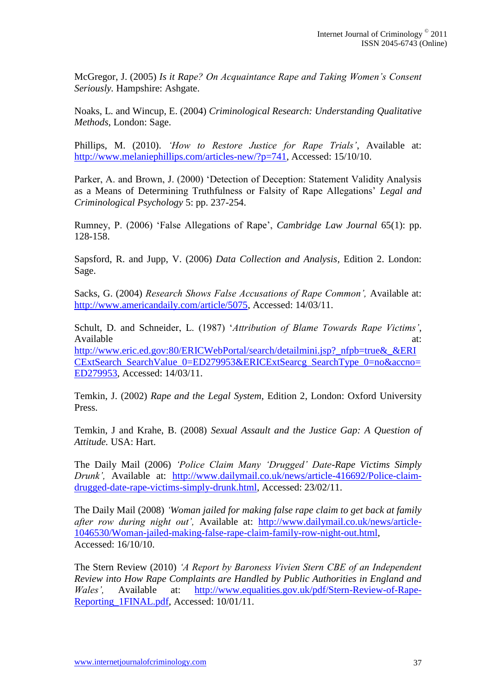McGregor, J. (2005) *Is it Rape? On Acquaintance Rape and Taking Women's Consent Seriously.* Hampshire: Ashgate.

Noaks, L. and Wincup, E. (2004) *Criminological Research: Understanding Qualitative Methods*, London: Sage.

Phillips, M. (2010). *'How to Restore Justice for Rape Trials'*, Available at: [http://www.melaniephillips.com/articles-new/?p=741,](http://www.melaniephillips.com/articles-new/?p=741) Accessed: 15/10/10.

Parker, A. and Brown, J. (2000) "Detection of Deception: Statement Validity Analysis as a Means of Determining Truthfulness or Falsity of Rape Allegations" *Legal and Criminological Psychology* 5: pp. 237-254.

Rumney, P. (2006) "False Allegations of Rape", *Cambridge Law Journal* 65(1): pp. 128-158.

Sapsford, R. and Jupp, V. (2006) *Data Collection and Analysis,* Edition 2. London: Sage.

Sacks, G. (2004) *Research Shows False Accusations of Rape Common',* Available at: [http://www.americandaily.com/article/5075,](http://www.americandaily.com/article/5075) Accessed: 14/03/11.

Schult, D. and Schneider, L. (1987) "*Attribution of Blame Towards Rape Victims'*, Available at: [http://www.eric.ed.gov:80/ERICWebPortal/search/detailmini.jsp?\\_nfpb=true&\\_&ERI](http://www.eric.ed.gov/ERICWebPortal/search/detailmini.jsp?_nfpb=true&_&ERICExtSearch_SearchValue_0=ED279953&ERICExtSearcg_SearchType_0=no&accno=ED279953) [CExtSearch\\_SearchValue\\_0=ED279953&ERICExtSearcg\\_SearchType\\_0=no&accno=](http://www.eric.ed.gov/ERICWebPortal/search/detailmini.jsp?_nfpb=true&_&ERICExtSearch_SearchValue_0=ED279953&ERICExtSearcg_SearchType_0=no&accno=ED279953) [ED279953,](http://www.eric.ed.gov/ERICWebPortal/search/detailmini.jsp?_nfpb=true&_&ERICExtSearch_SearchValue_0=ED279953&ERICExtSearcg_SearchType_0=no&accno=ED279953) Accessed: 14/03/11.

Temkin, J. (2002) *Rape and the Legal System*, Edition 2, London: Oxford University Press.

Temkin, J and Krahe, B. (2008) *Sexual Assault and the Justice Gap: A Question of Attitude.* USA: Hart.

The Daily Mail (2006) *'Police Claim Many 'Drugged' Date-Rape Victims Simply Drunk',* Available at: [http://www.dailymail.co.uk/news/article-416692/Police-claim](http://www.dailymail.co.uk/news/article-416692/Police-claim-drugged-date-rape-victims-simply-drunk.html)[drugged-date-rape-victims-simply-drunk.html,](http://www.dailymail.co.uk/news/article-416692/Police-claim-drugged-date-rape-victims-simply-drunk.html) Accessed: 23/02/11.

The Daily Mail (2008) *'Woman jailed for making false rape claim to get back at family after row during night out',* Available at: [http://www.dailymail.co.uk/news/article-](http://www.dailymail.co.uk/news/article-1046530/Woman-jailed-making-false-rape-claim-family-row-night-out.html)[1046530/Woman-jailed-making-false-rape-claim-family-row-night-out.html,](http://www.dailymail.co.uk/news/article-1046530/Woman-jailed-making-false-rape-claim-family-row-night-out.html) Accessed: 16/10/10.

The Stern Review (2010) *'A Report by Baroness Vivien Stern CBE of an Independent Review into How Rape Complaints are Handled by Public Authorities in England and Wales',* Available at: [http://www.equalities.gov.uk/pdf/Stern-Review-of-Rape-](http://www.equalities.gov.uk/pdf/Stern-Review-of-Rape-Reporting_1FINAL.pdf)Reporting 1FINAL.pdf, Accessed: 10/01/11.